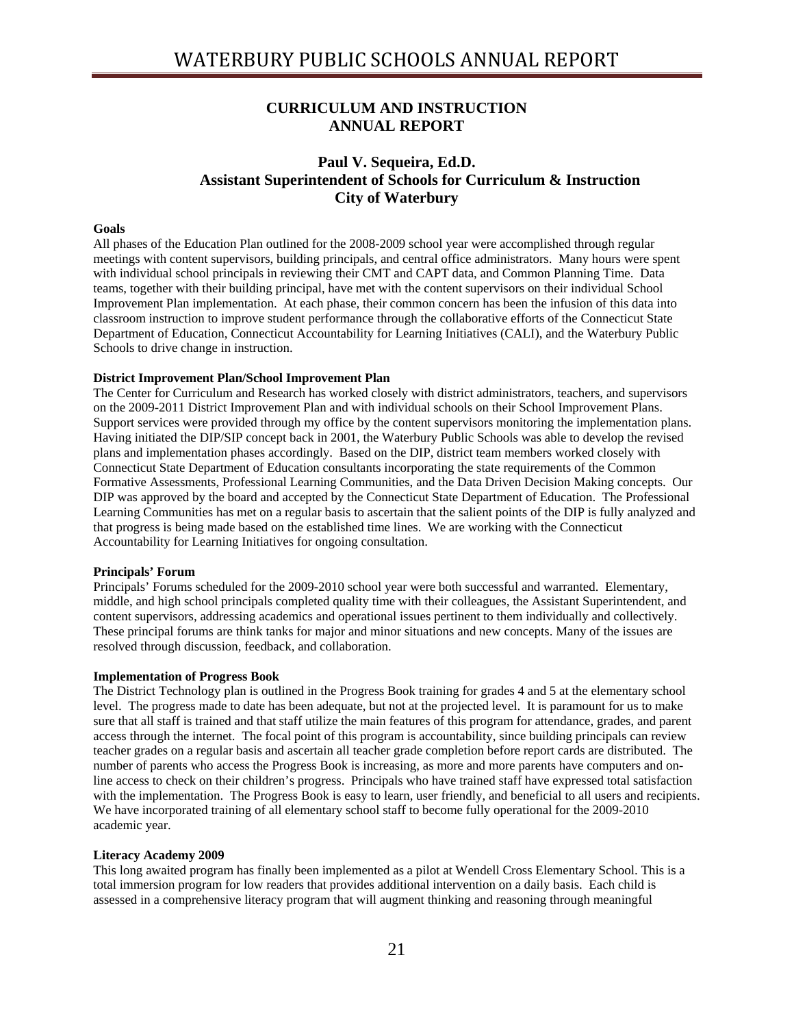## **CURRICULUM AND INSTRUCTION ANNUAL REPORT**

## **Paul V. Sequeira, Ed.D. Assistant Superintendent of Schools for Curriculum & Instruction City of Waterbury**

## **Goals**

All phases of the Education Plan outlined for the 2008-2009 school year were accomplished through regular meetings with content supervisors, building principals, and central office administrators. Many hours were spent with individual school principals in reviewing their CMT and CAPT data, and Common Planning Time. Data teams, together with their building principal, have met with the content supervisors on their individual School Improvement Plan implementation. At each phase, their common concern has been the infusion of this data into classroom instruction to improve student performance through the collaborative efforts of the Connecticut State Department of Education, Connecticut Accountability for Learning Initiatives (CALI), and the Waterbury Public Schools to drive change in instruction.

## **District Improvement Plan/School Improvement Plan**

The Center for Curriculum and Research has worked closely with district administrators, teachers, and supervisors on the 2009-2011 District Improvement Plan and with individual schools on their School Improvement Plans. Support services were provided through my office by the content supervisors monitoring the implementation plans. Having initiated the DIP/SIP concept back in 2001, the Waterbury Public Schools was able to develop the revised plans and implementation phases accordingly. Based on the DIP, district team members worked closely with Connecticut State Department of Education consultants incorporating the state requirements of the Common Formative Assessments, Professional Learning Communities, and the Data Driven Decision Making concepts. Our DIP was approved by the board and accepted by the Connecticut State Department of Education. The Professional Learning Communities has met on a regular basis to ascertain that the salient points of the DIP is fully analyzed and that progress is being made based on the established time lines. We are working with the Connecticut Accountability for Learning Initiatives for ongoing consultation.

#### **Principals' Forum**

Principals' Forums scheduled for the 2009-2010 school year were both successful and warranted. Elementary, middle, and high school principals completed quality time with their colleagues, the Assistant Superintendent, and content supervisors, addressing academics and operational issues pertinent to them individually and collectively. These principal forums are think tanks for major and minor situations and new concepts. Many of the issues are resolved through discussion, feedback, and collaboration.

#### **Implementation of Progress Book**

The District Technology plan is outlined in the Progress Book training for grades 4 and 5 at the elementary school level. The progress made to date has been adequate, but not at the projected level. It is paramount for us to make sure that all staff is trained and that staff utilize the main features of this program for attendance, grades, and parent access through the internet. The focal point of this program is accountability, since building principals can review teacher grades on a regular basis and ascertain all teacher grade completion before report cards are distributed. The number of parents who access the Progress Book is increasing, as more and more parents have computers and online access to check on their children's progress. Principals who have trained staff have expressed total satisfaction with the implementation. The Progress Book is easy to learn, user friendly, and beneficial to all users and recipients. We have incorporated training of all elementary school staff to become fully operational for the 2009-2010 academic year.

#### **Literacy Academy 2009**

This long awaited program has finally been implemented as a pilot at Wendell Cross Elementary School. This is a total immersion program for low readers that provides additional intervention on a daily basis. Each child is assessed in a comprehensive literacy program that will augment thinking and reasoning through meaningful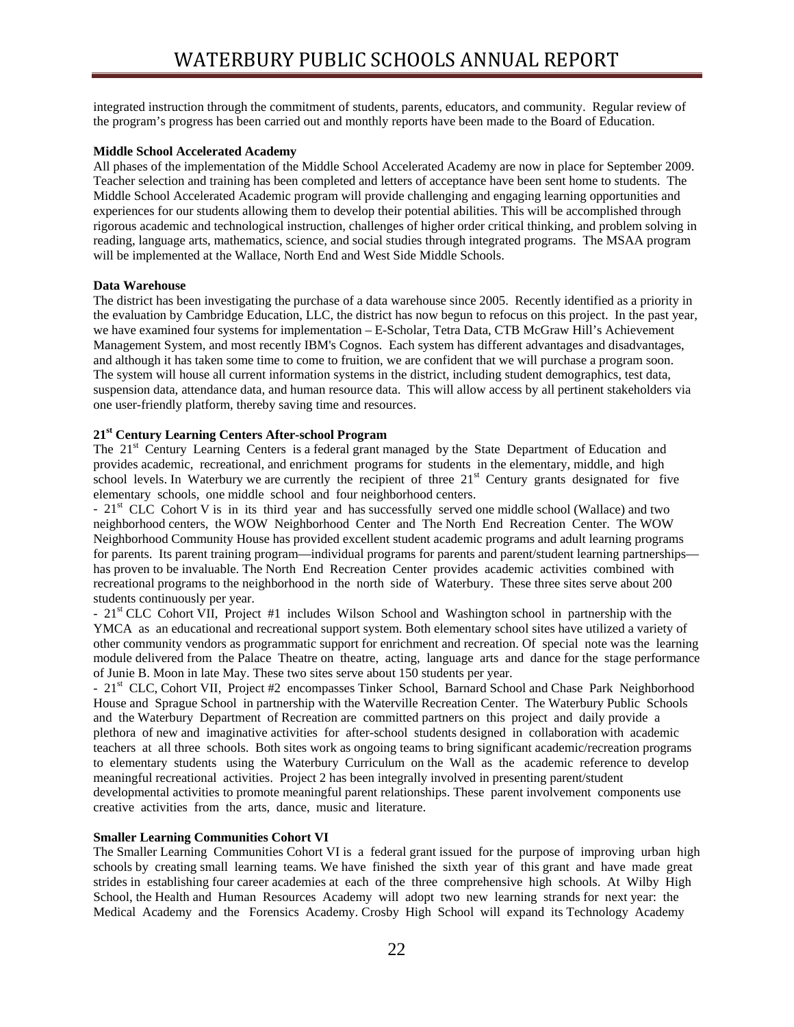integrated instruction through the commitment of students, parents, educators, and community. Regular review of the program's progress has been carried out and monthly reports have been made to the Board of Education.

## **Middle School Accelerated Academy**

All phases of the implementation of the Middle School Accelerated Academy are now in place for September 2009. Teacher selection and training has been completed and letters of acceptance have been sent home to students. The Middle School Accelerated Academic program will provide challenging and engaging learning opportunities and experiences for our students allowing them to develop their potential abilities. This will be accomplished through rigorous academic and technological instruction, challenges of higher order critical thinking, and problem solving in reading, language arts, mathematics, science, and social studies through integrated programs. The MSAA program will be implemented at the Wallace, North End and West Side Middle Schools.

## **Data Warehouse**

The district has been investigating the purchase of a data warehouse since 2005. Recently identified as a priority in the evaluation by Cambridge Education, LLC, the district has now begun to refocus on this project. In the past year, we have examined four systems for implementation – E-Scholar, Tetra Data, CTB McGraw Hill's Achievement Management System, and most recently IBM's Cognos. Each system has different advantages and disadvantages, and although it has taken some time to come to fruition, we are confident that we will purchase a program soon. The system will house all current information systems in the district, including student demographics, test data, suspension data, attendance data, and human resource data. This will allow access by all pertinent stakeholders via one user-friendly platform, thereby saving time and resources.

## **21st Century Learning Centers After-school Program**

The 21<sup>st</sup> Century Learning Centers is a federal grant managed by the State Department of Education and provides academic, recreational, and enrichment programs for students in the elementary, middle, and high school levels. In Waterbury we are currently the recipient of three  $21<sup>st</sup>$  Century grants designated for five elementary schools, one middle school and four neighborhood centers.

- 21st CLC Cohort V is in its third year and has successfully served one middle school (Wallace) and two neighborhood centers, the WOW Neighborhood Center and The North End Recreation Center. The WOW Neighborhood Community House has provided excellent student academic programs and adult learning programs for parents. Its parent training program—individual programs for parents and parent/student learning partnerships has proven to be invaluable. The North End Recreation Center provides academic activities combined with recreational programs to the neighborhood in the north side of Waterbury. These three sites serve about 200 students continuously per year.

- 21st CLC Cohort VII, Project #1 includes Wilson School and Washington school in partnership with the YMCA as an educational and recreational support system. Both elementary school sites have utilized a variety of other community vendors as programmatic support for enrichment and recreation. Of special note was the learning module delivered from the Palace Theatre on theatre, acting, language arts and dance for the stage performance of Junie B. Moon in late May. These two sites serve about 150 students per year.

- 21<sup>st</sup> CLC, Cohort VII, Project #2 encompasses Tinker School, Barnard School and Chase Park Neighborhood House and Sprague School in partnership with the Waterville Recreation Center. The Waterbury Public Schools and the Waterbury Department of Recreation are committed partners on this project and daily provide a plethora of new and imaginative activities for after-school students designed in collaboration with academic teachers at all three schools. Both sites work as ongoing teams to bring significant academic/recreation programs to elementary students using the Waterbury Curriculum on the Wall as the academic reference to develop meaningful recreational activities. Project 2 has been integrally involved in presenting parent/student developmental activities to promote meaningful parent relationships. These parent involvement components use creative activities from the arts, dance, music and literature.

#### **Smaller Learning Communities Cohort VI**

The Smaller Learning Communities Cohort VI is a federal grant issued for the purpose of improving urban high schools by creating small learning teams. We have finished the sixth year of this grant and have made great strides in establishing four career academies at each of the three comprehensive high schools. At Wilby High School, the Health and Human Resources Academy will adopt two new learning strands for next year: the Medical Academy and the Forensics Academy. Crosby High School will expand its Technology Academy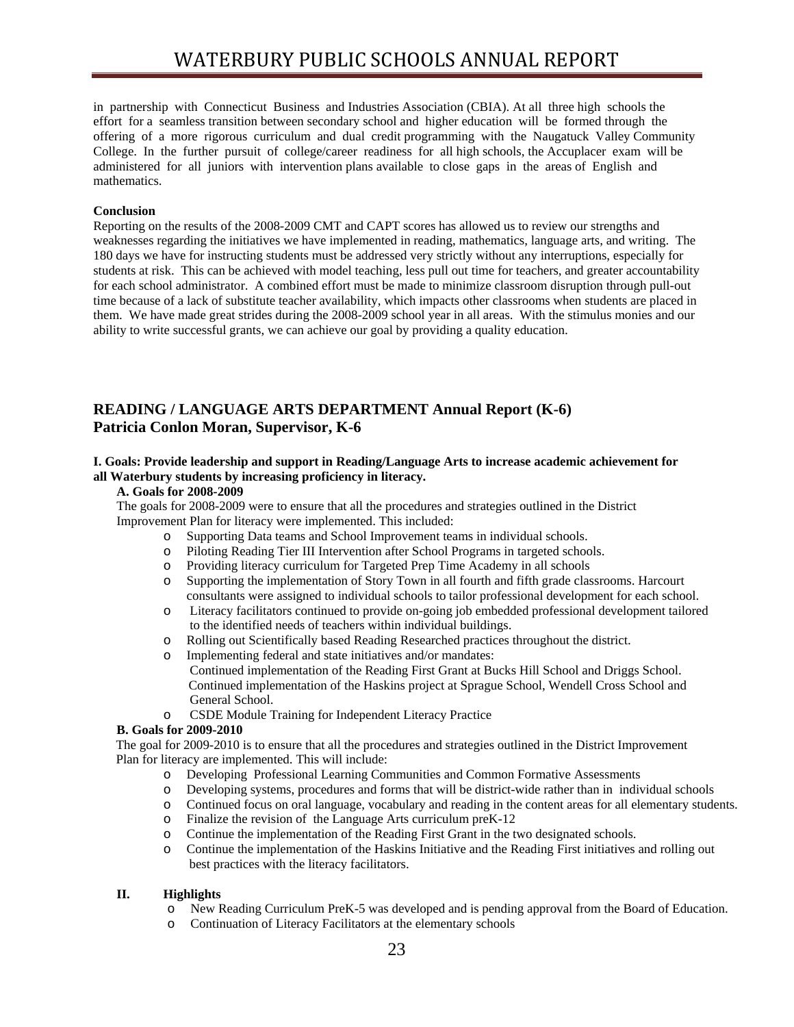in partnership with Connecticut Business and Industries Association (CBIA). At all three high schools the effort for a seamless transition between secondary school and higher education will be formed through the offering of a more rigorous curriculum and dual credit programming with the Naugatuck Valley Community College. In the further pursuit of college/career readiness for all high schools, the Accuplacer exam will be administered for all juniors with intervention plans available to close gaps in the areas of English and mathematics.

## **Conclusion**

Reporting on the results of the 2008-2009 CMT and CAPT scores has allowed us to review our strengths and weaknesses regarding the initiatives we have implemented in reading, mathematics, language arts, and writing. The 180 days we have for instructing students must be addressed very strictly without any interruptions, especially for students at risk. This can be achieved with model teaching, less pull out time for teachers, and greater accountability for each school administrator. A combined effort must be made to minimize classroom disruption through pull-out time because of a lack of substitute teacher availability, which impacts other classrooms when students are placed in them. We have made great strides during the 2008-2009 school year in all areas. With the stimulus monies and our ability to write successful grants, we can achieve our goal by providing a quality education.

## **READING / LANGUAGE ARTS DEPARTMENT Annual Report (K-6) Patricia Conlon Moran, Supervisor, K-6**

## **I. Goals: Provide leadership and support in Reading/Language Arts to increase academic achievement for all Waterbury students by increasing proficiency in literacy.**

## **A. Goals for 2008-2009**

The goals for 2008-2009 were to ensure that all the procedures and strategies outlined in the District Improvement Plan for literacy were implemented. This included:

- o Supporting Data teams and School Improvement teams in individual schools.
- o Piloting Reading Tier III Intervention after School Programs in targeted schools.
- o Providing literacy curriculum for Targeted Prep Time Academy in all schools
- o Supporting the implementation of Story Town in all fourth and fifth grade classrooms. Harcourt consultants were assigned to individual schools to tailor professional development for each school.
- o Literacy facilitators continued to provide on-going job embedded professional development tailored to the identified needs of teachers within individual buildings.
- o Rolling out Scientifically based Reading Researched practices throughout the district.
- o Implementing federal and state initiatives and/or mandates: Continued implementation of the Reading First Grant at Bucks Hill School and Driggs School. Continued implementation of the Haskins project at Sprague School, Wendell Cross School and General School.
- o CSDE Module Training for Independent Literacy Practice

## **B. Goals for 2009-2010**

 The goal for 2009-2010 is to ensure that all the procedures and strategies outlined in the District Improvement Plan for literacy are implemented. This will include:

- o Developing Professional Learning Communities and Common Formative Assessments
- o Developing systems, procedures and forms that will be district-wide rather than in individual schools
- o Continued focus on oral language, vocabulary and reading in the content areas for all elementary students.
- o Finalize the revision of the Language Arts curriculum preK-12
- o Continue the implementation of the Reading First Grant in the two designated schools.
- o Continue the implementation of the Haskins Initiative and the Reading First initiatives and rolling out best practices with the literacy facilitators.

## **II. Highlights**

- o New Reading Curriculum PreK-5 was developed and is pending approval from the Board of Education.
- o Continuation of Literacy Facilitators at the elementary schools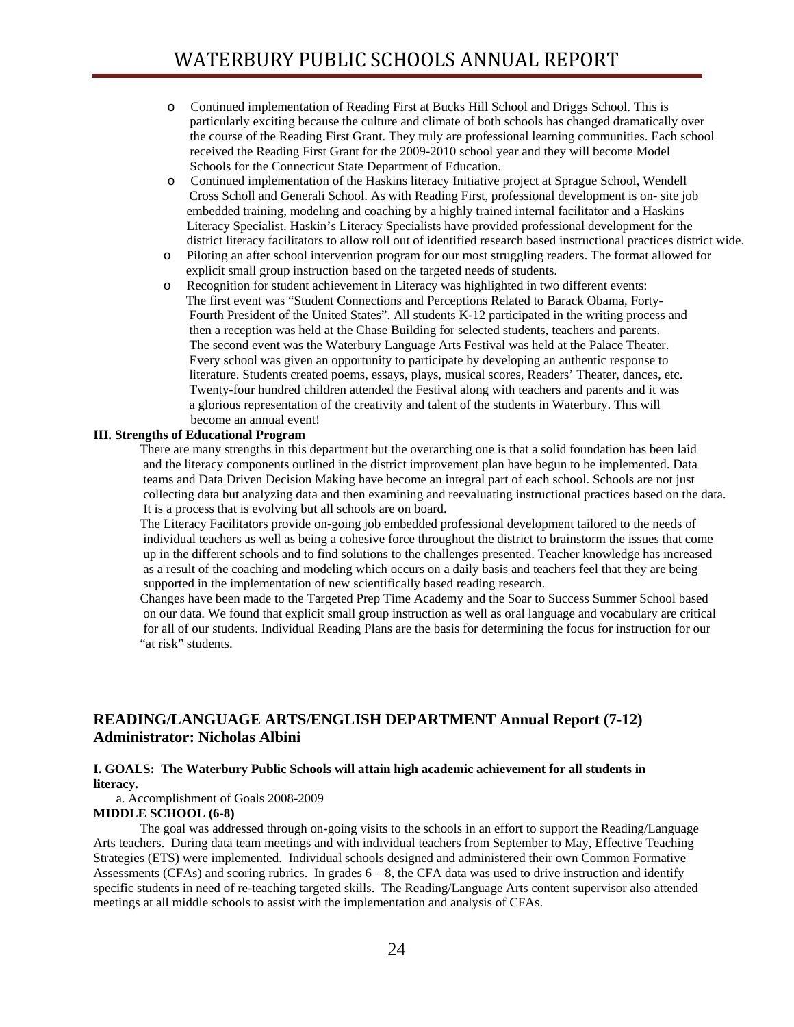- o Continued implementation of Reading First at Bucks Hill School and Driggs School. This is particularly exciting because the culture and climate of both schools has changed dramatically over the course of the Reading First Grant. They truly are professional learning communities. Each school received the Reading First Grant for the 2009-2010 school year and they will become Model Schools for the Connecticut State Department of Education.
- o Continued implementation of the Haskins literacy Initiative project at Sprague School, Wendell Cross Scholl and Generali School. As with Reading First, professional development is on- site job embedded training, modeling and coaching by a highly trained internal facilitator and a Haskins Literacy Specialist. Haskin's Literacy Specialists have provided professional development for the district literacy facilitators to allow roll out of identified research based instructional practices district wide.
- o Piloting an after school intervention program for our most struggling readers. The format allowed for explicit small group instruction based on the targeted needs of students.
- o Recognition for student achievement in Literacy was highlighted in two different events: The first event was "Student Connections and Perceptions Related to Barack Obama, Forty- Fourth President of the United States". All students K-12 participated in the writing process and then a reception was held at the Chase Building for selected students, teachers and parents. The second event was the Waterbury Language Arts Festival was held at the Palace Theater. Every school was given an opportunity to participate by developing an authentic response to literature. Students created poems, essays, plays, musical scores, Readers' Theater, dances, etc. Twenty-four hundred children attended the Festival along with teachers and parents and it was a glorious representation of the creativity and talent of the students in Waterbury. This will become an annual event!

## **III. Strengths of Educational Program**

There are many strengths in this department but the overarching one is that a solid foundation has been laid and the literacy components outlined in the district improvement plan have begun to be implemented. Data teams and Data Driven Decision Making have become an integral part of each school. Schools are not just collecting data but analyzing data and then examining and reevaluating instructional practices based on the data. It is a process that is evolving but all schools are on board.

The Literacy Facilitators provide on-going job embedded professional development tailored to the needs of individual teachers as well as being a cohesive force throughout the district to brainstorm the issues that come up in the different schools and to find solutions to the challenges presented. Teacher knowledge has increased as a result of the coaching and modeling which occurs on a daily basis and teachers feel that they are being supported in the implementation of new scientifically based reading research.

Changes have been made to the Targeted Prep Time Academy and the Soar to Success Summer School based on our data. We found that explicit small group instruction as well as oral language and vocabulary are critical for all of our students. Individual Reading Plans are the basis for determining the focus for instruction for our "at risk" students.

## **READING/LANGUAGE ARTS/ENGLISH DEPARTMENT Annual Report (7-12) Administrator: Nicholas Albini**

## **I. GOALS: The Waterbury Public Schools will attain high academic achievement for all students in literacy.**

a. Accomplishment of Goals 2008-2009

## **MIDDLE SCHOOL (6-8)**

 The goal was addressed through on-going visits to the schools in an effort to support the Reading/Language Arts teachers. During data team meetings and with individual teachers from September to May, Effective Teaching Strategies (ETS) were implemented. Individual schools designed and administered their own Common Formative Assessments (CFAs) and scoring rubrics. In grades  $6 - 8$ , the CFA data was used to drive instruction and identify specific students in need of re-teaching targeted skills. The Reading/Language Arts content supervisor also attended meetings at all middle schools to assist with the implementation and analysis of CFAs.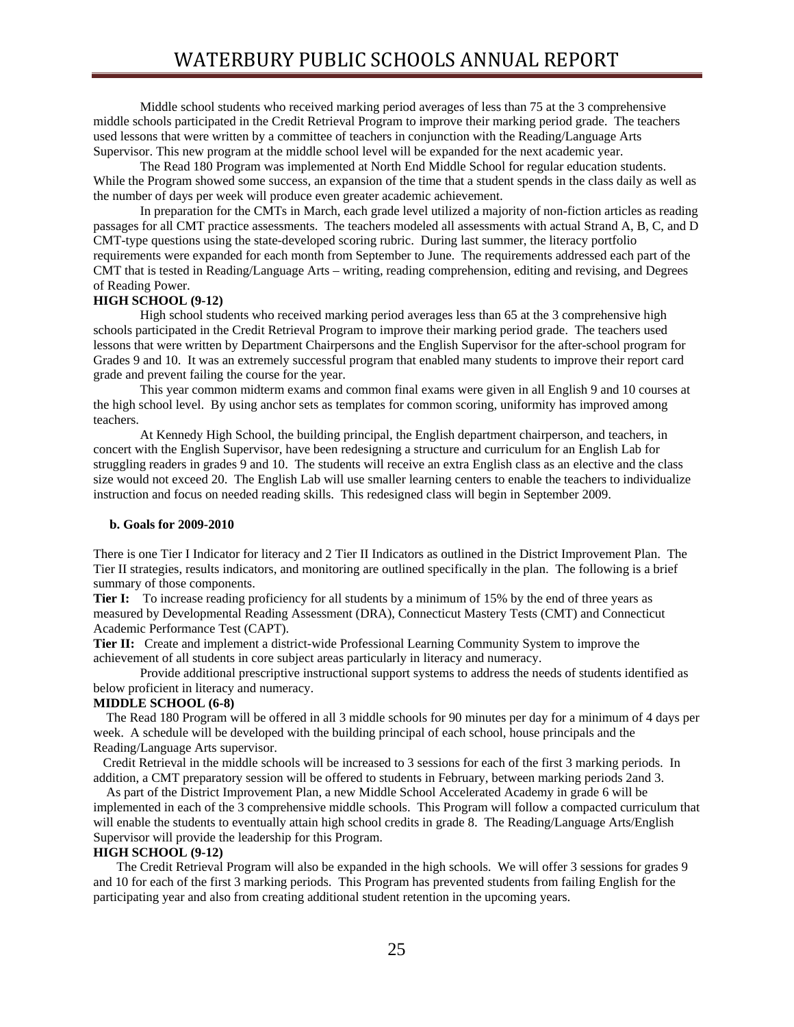Middle school students who received marking period averages of less than 75 at the 3 comprehensive middle schools participated in the Credit Retrieval Program to improve their marking period grade. The teachers used lessons that were written by a committee of teachers in conjunction with the Reading/Language Arts Supervisor. This new program at the middle school level will be expanded for the next academic year.

The Read 180 Program was implemented at North End Middle School for regular education students. While the Program showed some success, an expansion of the time that a student spends in the class daily as well as the number of days per week will produce even greater academic achievement.

In preparation for the CMTs in March, each grade level utilized a majority of non-fiction articles as reading passages for all CMT practice assessments. The teachers modeled all assessments with actual Strand A, B, C, and D CMT-type questions using the state-developed scoring rubric. During last summer, the literacy portfolio requirements were expanded for each month from September to June. The requirements addressed each part of the CMT that is tested in Reading/Language Arts – writing, reading comprehension, editing and revising, and Degrees of Reading Power.

## **HIGH SCHOOL (9-12)**

 High school students who received marking period averages less than 65 at the 3 comprehensive high schools participated in the Credit Retrieval Program to improve their marking period grade. The teachers used lessons that were written by Department Chairpersons and the English Supervisor for the after-school program for Grades 9 and 10. It was an extremely successful program that enabled many students to improve their report card grade and prevent failing the course for the year.

 This year common midterm exams and common final exams were given in all English 9 and 10 courses at the high school level. By using anchor sets as templates for common scoring, uniformity has improved among teachers.

 At Kennedy High School, the building principal, the English department chairperson, and teachers, in concert with the English Supervisor, have been redesigning a structure and curriculum for an English Lab for struggling readers in grades 9 and 10. The students will receive an extra English class as an elective and the class size would not exceed 20. The English Lab will use smaller learning centers to enable the teachers to individualize instruction and focus on needed reading skills. This redesigned class will begin in September 2009.

#### **b. Goals for 2009-2010**

There is one Tier I Indicator for literacy and 2 Tier II Indicators as outlined in the District Improvement Plan. The Tier II strategies, results indicators, and monitoring are outlined specifically in the plan. The following is a brief summary of those components.

**Tier I:** To increase reading proficiency for all students by a minimum of 15% by the end of three years as measured by Developmental Reading Assessment (DRA), Connecticut Mastery Tests (CMT) and Connecticut Academic Performance Test (CAPT).

**Tier II:** Create and implement a district-wide Professional Learning Community System to improve the achievement of all students in core subject areas particularly in literacy and numeracy.

Provide additional prescriptive instructional support systems to address the needs of students identified as below proficient in literacy and numeracy.

## **MIDDLE SCHOOL (6-8)**

 The Read 180 Program will be offered in all 3 middle schools for 90 minutes per day for a minimum of 4 days per week. A schedule will be developed with the building principal of each school, house principals and the Reading/Language Arts supervisor.

 Credit Retrieval in the middle schools will be increased to 3 sessions for each of the first 3 marking periods. In addition, a CMT preparatory session will be offered to students in February, between marking periods 2and 3.

 As part of the District Improvement Plan, a new Middle School Accelerated Academy in grade 6 will be implemented in each of the 3 comprehensive middle schools. This Program will follow a compacted curriculum that will enable the students to eventually attain high school credits in grade 8. The Reading/Language Arts/English Supervisor will provide the leadership for this Program.

#### **HIGH SCHOOL (9-12)**

The Credit Retrieval Program will also be expanded in the high schools. We will offer 3 sessions for grades 9 and 10 for each of the first 3 marking periods. This Program has prevented students from failing English for the participating year and also from creating additional student retention in the upcoming years.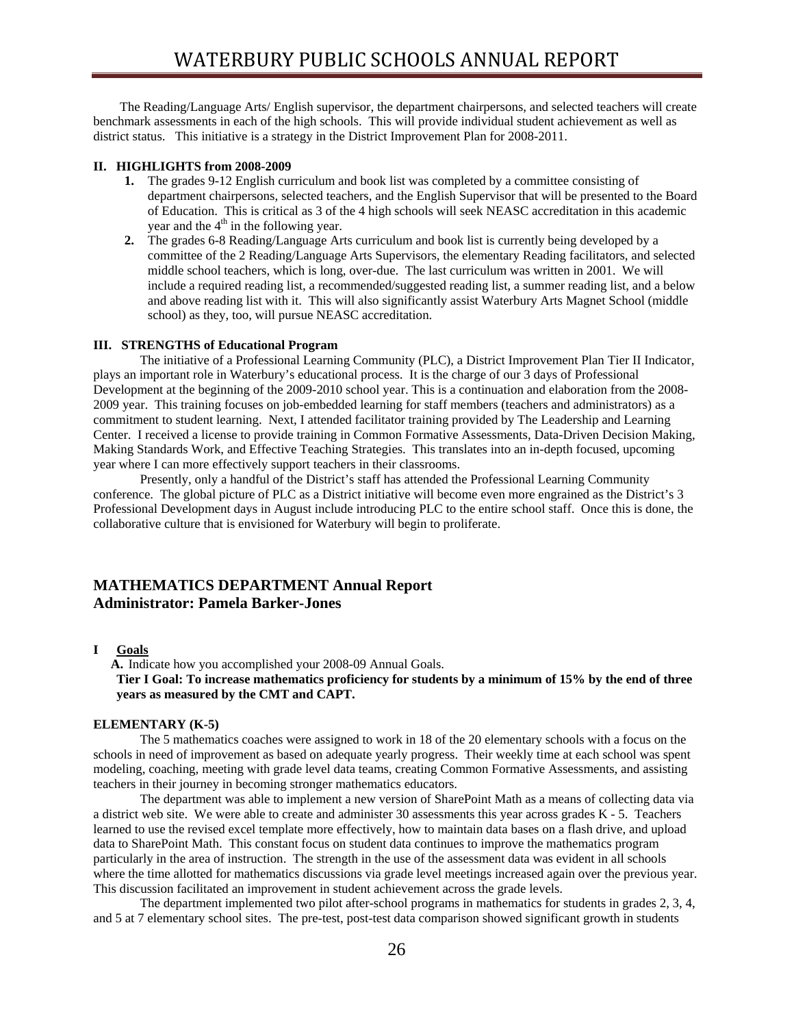The Reading/Language Arts/ English supervisor, the department chairpersons, and selected teachers will create benchmark assessments in each of the high schools. This will provide individual student achievement as well as district status. This initiative is a strategy in the District Improvement Plan for 2008-2011.

#### **II. HIGHLIGHTS from 2008-2009**

- **1.** The grades 9-12 English curriculum and book list was completed by a committee consisting of department chairpersons, selected teachers, and the English Supervisor that will be presented to the Board of Education. This is critical as 3 of the 4 high schools will seek NEASC accreditation in this academic year and the  $4<sup>th</sup>$  in the following year.
- **2.** The grades 6-8 Reading/Language Arts curriculum and book list is currently being developed by a committee of the 2 Reading/Language Arts Supervisors, the elementary Reading facilitators, and selected middle school teachers, which is long, over-due. The last curriculum was written in 2001. We will include a required reading list, a recommended/suggested reading list, a summer reading list, and a below and above reading list with it. This will also significantly assist Waterbury Arts Magnet School (middle school) as they, too, will pursue NEASC accreditation.

## **III. STRENGTHS of Educational Program**

 The initiative of a Professional Learning Community (PLC), a District Improvement Plan Tier II Indicator, plays an important role in Waterbury's educational process. It is the charge of our 3 days of Professional Development at the beginning of the 2009-2010 school year. This is a continuation and elaboration from the 2008- 2009 year. This training focuses on job-embedded learning for staff members (teachers and administrators) as a commitment to student learning. Next, I attended facilitator training provided by The Leadership and Learning Center. I received a license to provide training in Common Formative Assessments, Data-Driven Decision Making, Making Standards Work, and Effective Teaching Strategies. This translates into an in-depth focused, upcoming year where I can more effectively support teachers in their classrooms.

 Presently, only a handful of the District's staff has attended the Professional Learning Community conference. The global picture of PLC as a District initiative will become even more engrained as the District's 3 Professional Development days in August include introducing PLC to the entire school staff. Once this is done, the collaborative culture that is envisioned for Waterbury will begin to proliferate.

## **MATHEMATICS DEPARTMENT Annual Report Administrator: Pamela Barker-Jones**

## **I Goals**

**A.** Indicate how you accomplished your 2008-09 Annual Goals. **Tier I Goal: To increase mathematics proficiency for students by a minimum of 15% by the end of three years as measured by the CMT and CAPT.** 

#### **ELEMENTARY (K-5)**

The 5 mathematics coaches were assigned to work in 18 of the 20 elementary schools with a focus on the schools in need of improvement as based on adequate yearly progress. Their weekly time at each school was spent modeling, coaching, meeting with grade level data teams, creating Common Formative Assessments, and assisting teachers in their journey in becoming stronger mathematics educators.

The department was able to implement a new version of SharePoint Math as a means of collecting data via a district web site. We were able to create and administer 30 assessments this year across grades K - 5. Teachers learned to use the revised excel template more effectively, how to maintain data bases on a flash drive, and upload data to SharePoint Math. This constant focus on student data continues to improve the mathematics program particularly in the area of instruction. The strength in the use of the assessment data was evident in all schools where the time allotted for mathematics discussions via grade level meetings increased again over the previous year. This discussion facilitated an improvement in student achievement across the grade levels.

The department implemented two pilot after-school programs in mathematics for students in grades 2, 3, 4, and 5 at 7 elementary school sites. The pre-test, post-test data comparison showed significant growth in students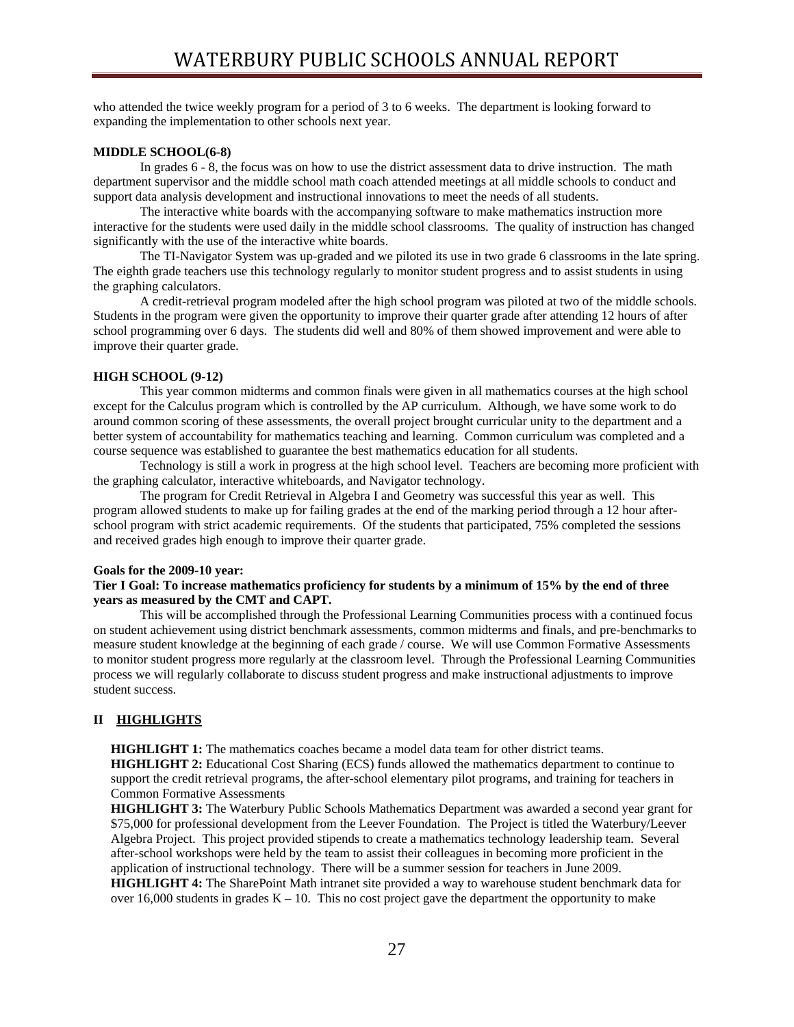who attended the twice weekly program for a period of 3 to 6 weeks. The department is looking forward to expanding the implementation to other schools next year.

#### **MIDDLE SCHOOL(6-8)**

 In grades 6 - 8, the focus was on how to use the district assessment data to drive instruction. The math department supervisor and the middle school math coach attended meetings at all middle schools to conduct and support data analysis development and instructional innovations to meet the needs of all students.

 The interactive white boards with the accompanying software to make mathematics instruction more interactive for the students were used daily in the middle school classrooms. The quality of instruction has changed significantly with the use of the interactive white boards.

 The TI-Navigator System was up-graded and we piloted its use in two grade 6 classrooms in the late spring. The eighth grade teachers use this technology regularly to monitor student progress and to assist students in using the graphing calculators.

 A credit-retrieval program modeled after the high school program was piloted at two of the middle schools. Students in the program were given the opportunity to improve their quarter grade after attending 12 hours of after school programming over 6 days. The students did well and 80% of them showed improvement and were able to improve their quarter grade.

#### **HIGH SCHOOL (9-12)**

 This year common midterms and common finals were given in all mathematics courses at the high school except for the Calculus program which is controlled by the AP curriculum. Although, we have some work to do around common scoring of these assessments, the overall project brought curricular unity to the department and a better system of accountability for mathematics teaching and learning. Common curriculum was completed and a course sequence was established to guarantee the best mathematics education for all students.

Technology is still a work in progress at the high school level. Teachers are becoming more proficient with the graphing calculator, interactive whiteboards, and Navigator technology.

The program for Credit Retrieval in Algebra I and Geometry was successful this year as well. This program allowed students to make up for failing grades at the end of the marking period through a 12 hour afterschool program with strict academic requirements. Of the students that participated, 75% completed the sessions and received grades high enough to improve their quarter grade.

#### **Goals for the 2009-10 year:**

## **Tier I Goal: To increase mathematics proficiency for students by a minimum of 15% by the end of three years as measured by the CMT and CAPT.**

 This will be accomplished through the Professional Learning Communities process with a continued focus on student achievement using district benchmark assessments, common midterms and finals, and pre-benchmarks to measure student knowledge at the beginning of each grade / course. We will use Common Formative Assessments to monitor student progress more regularly at the classroom level. Through the Professional Learning Communities process we will regularly collaborate to discuss student progress and make instructional adjustments to improve student success.

## **II HIGHLIGHTS**

**HIGHLIGHT 1:** The mathematics coaches became a model data team for other district teams.  **HIGHLIGHT 2:** Educational Cost Sharing (ECS) funds allowed the mathematics department to continue to support the credit retrieval programs, the after-school elementary pilot programs, and training for teachers in Common Formative Assessments

 **HIGHLIGHT 3:** The Waterbury Public Schools Mathematics Department was awarded a second year grant for \$75,000 for professional development from the Leever Foundation. The Project is titled the Waterbury/Leever Algebra Project. This project provided stipends to create a mathematics technology leadership team. Several after-school workshops were held by the team to assist their colleagues in becoming more proficient in the application of instructional technology. There will be a summer session for teachers in June 2009.  **HIGHLIGHT 4:** The SharePoint Math intranet site provided a way to warehouse student benchmark data for

over 16,000 students in grades  $K - 10$ . This no cost project gave the department the opportunity to make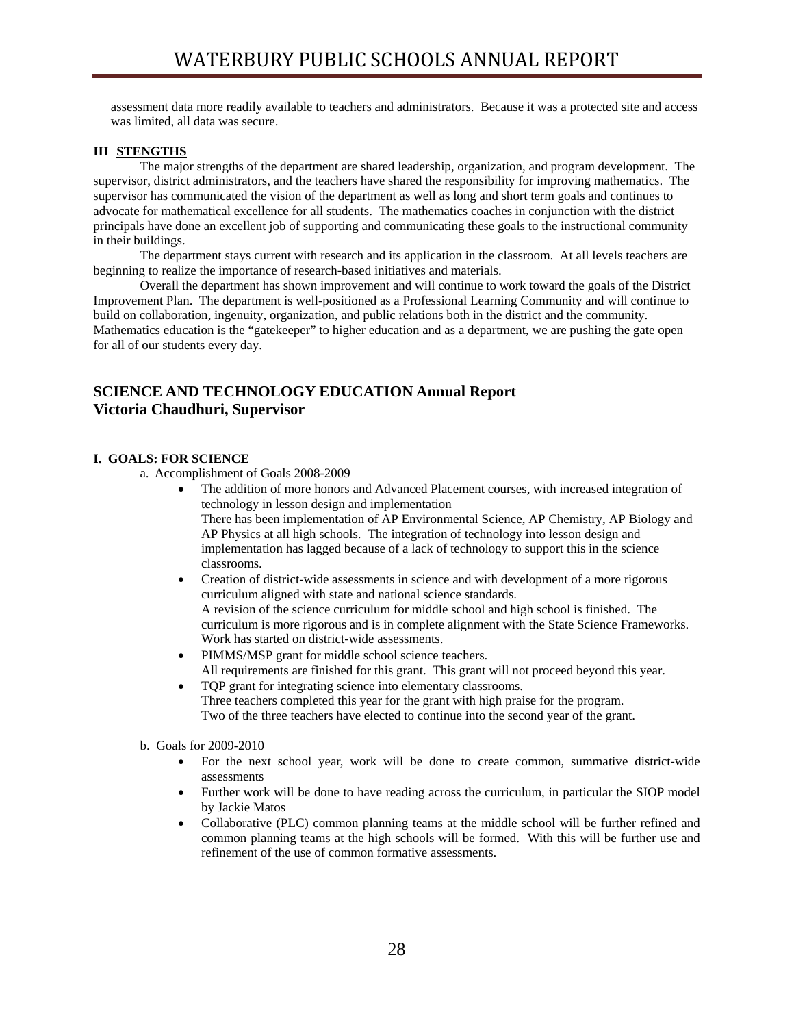assessment data more readily available to teachers and administrators. Because it was a protected site and access was limited, all data was secure.

## **III STENGTHS**

 The major strengths of the department are shared leadership, organization, and program development. The supervisor, district administrators, and the teachers have shared the responsibility for improving mathematics. The supervisor has communicated the vision of the department as well as long and short term goals and continues to advocate for mathematical excellence for all students. The mathematics coaches in conjunction with the district principals have done an excellent job of supporting and communicating these goals to the instructional community in their buildings.

 The department stays current with research and its application in the classroom. At all levels teachers are beginning to realize the importance of research-based initiatives and materials.

 Overall the department has shown improvement and will continue to work toward the goals of the District Improvement Plan. The department is well-positioned as a Professional Learning Community and will continue to build on collaboration, ingenuity, organization, and public relations both in the district and the community. Mathematics education is the "gatekeeper" to higher education and as a department, we are pushing the gate open for all of our students every day.

## **SCIENCE AND TECHNOLOGY EDUCATION Annual Report Victoria Chaudhuri, Supervisor**

#### **I. GOALS: FOR SCIENCE**

a. Accomplishment of Goals 2008-2009

- The addition of more honors and Advanced Placement courses, with increased integration of technology in lesson design and implementation There has been implementation of AP Environmental Science, AP Chemistry, AP Biology and AP Physics at all high schools. The integration of technology into lesson design and implementation has lagged because of a lack of technology to support this in the science classrooms.
- Creation of district-wide assessments in science and with development of a more rigorous curriculum aligned with state and national science standards. A revision of the science curriculum for middle school and high school is finished. The curriculum is more rigorous and is in complete alignment with the State Science Frameworks. Work has started on district-wide assessments.
- PIMMS/MSP grant for middle school science teachers. All requirements are finished for this grant. This grant will not proceed beyond this year.
- TQP grant for integrating science into elementary classrooms. Three teachers completed this year for the grant with high praise for the program. Two of the three teachers have elected to continue into the second year of the grant.
- b. Goals for 2009-2010
	- For the next school year, work will be done to create common, summative district-wide assessments
	- Further work will be done to have reading across the curriculum, in particular the SIOP model by Jackie Matos
	- Collaborative (PLC) common planning teams at the middle school will be further refined and common planning teams at the high schools will be formed. With this will be further use and refinement of the use of common formative assessments.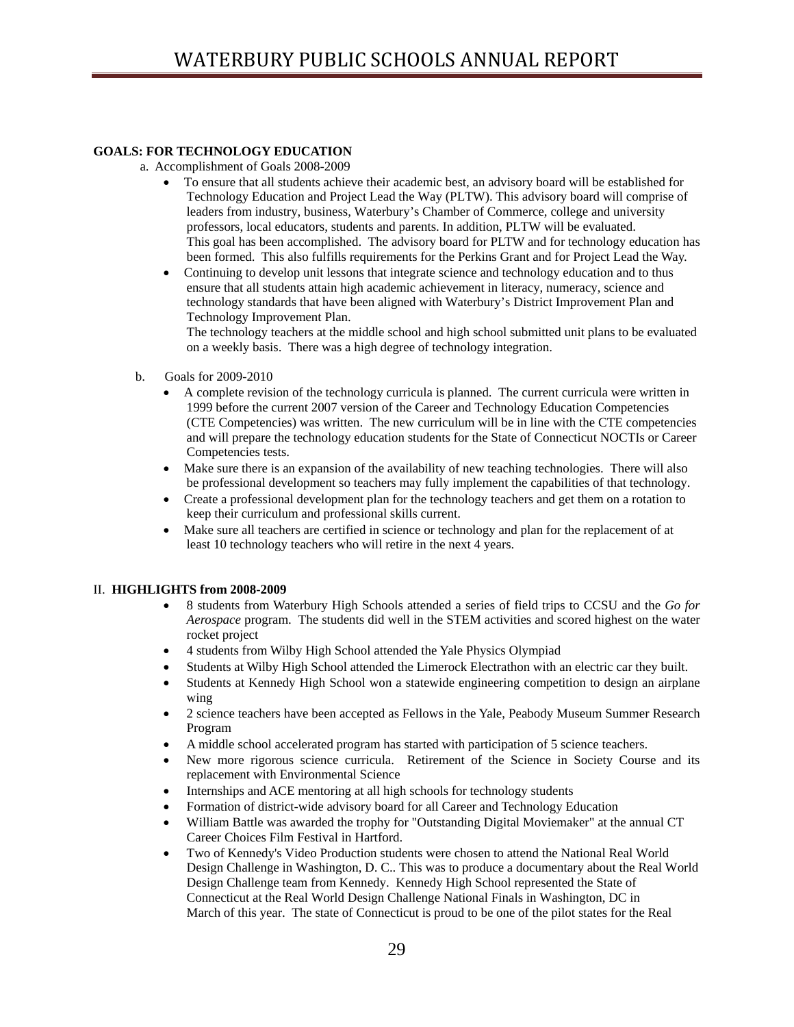## **GOALS: FOR TECHNOLOGY EDUCATION**

- a. Accomplishment of Goals 2008-2009
	- To ensure that all students achieve their academic best, an advisory board will be established for Technology Education and Project Lead the Way (PLTW). This advisory board will comprise of leaders from industry, business, Waterbury's Chamber of Commerce, college and university professors, local educators, students and parents. In addition, PLTW will be evaluated. This goal has been accomplished. The advisory board for PLTW and for technology education has been formed. This also fulfills requirements for the Perkins Grant and for Project Lead the Way.
	- Continuing to develop unit lessons that integrate science and technology education and to thus ensure that all students attain high academic achievement in literacy, numeracy, science and technology standards that have been aligned with Waterbury's District Improvement Plan and Technology Improvement Plan.

The technology teachers at the middle school and high school submitted unit plans to be evaluated on a weekly basis. There was a high degree of technology integration.

- b. Goals for 2009-2010
	- A complete revision of the technology curricula is planned. The current curricula were written in 1999 before the current 2007 version of the Career and Technology Education Competencies (CTE Competencies) was written. The new curriculum will be in line with the CTE competencies and will prepare the technology education students for the State of Connecticut NOCTIs or Career Competencies tests.
	- Make sure there is an expansion of the availability of new teaching technologies. There will also be professional development so teachers may fully implement the capabilities of that technology.
	- Create a professional development plan for the technology teachers and get them on a rotation to keep their curriculum and professional skills current.
	- Make sure all teachers are certified in science or technology and plan for the replacement of at least 10 technology teachers who will retire in the next 4 years.

## II. **HIGHLIGHTS from 2008-2009**

- 8 students from Waterbury High Schools attended a series of field trips to CCSU and the *Go for Aerospace* program. The students did well in the STEM activities and scored highest on the water rocket project
- 4 students from Wilby High School attended the Yale Physics Olympiad
- Students at Wilby High School attended the Limerock Electrathon with an electric car they built.
- Students at Kennedy High School won a statewide engineering competition to design an airplane wing
- 2 science teachers have been accepted as Fellows in the Yale, Peabody Museum Summer Research Program
- A middle school accelerated program has started with participation of 5 science teachers.
- New more rigorous science curricula. Retirement of the Science in Society Course and its replacement with Environmental Science
- Internships and ACE mentoring at all high schools for technology students
- Formation of district-wide advisory board for all Career and Technology Education
- William Battle was awarded the trophy for "Outstanding Digital Moviemaker" at the annual CT Career Choices Film Festival in Hartford.
- Two of Kennedy's Video Production students were chosen to attend the National Real World Design Challenge in Washington, D. C.. This was to produce a documentary about the Real World Design Challenge team from Kennedy. Kennedy High School represented the State of Connecticut at the Real World Design Challenge National Finals in Washington, DC in March of this year. The state of Connecticut is proud to be one of the pilot states for the Real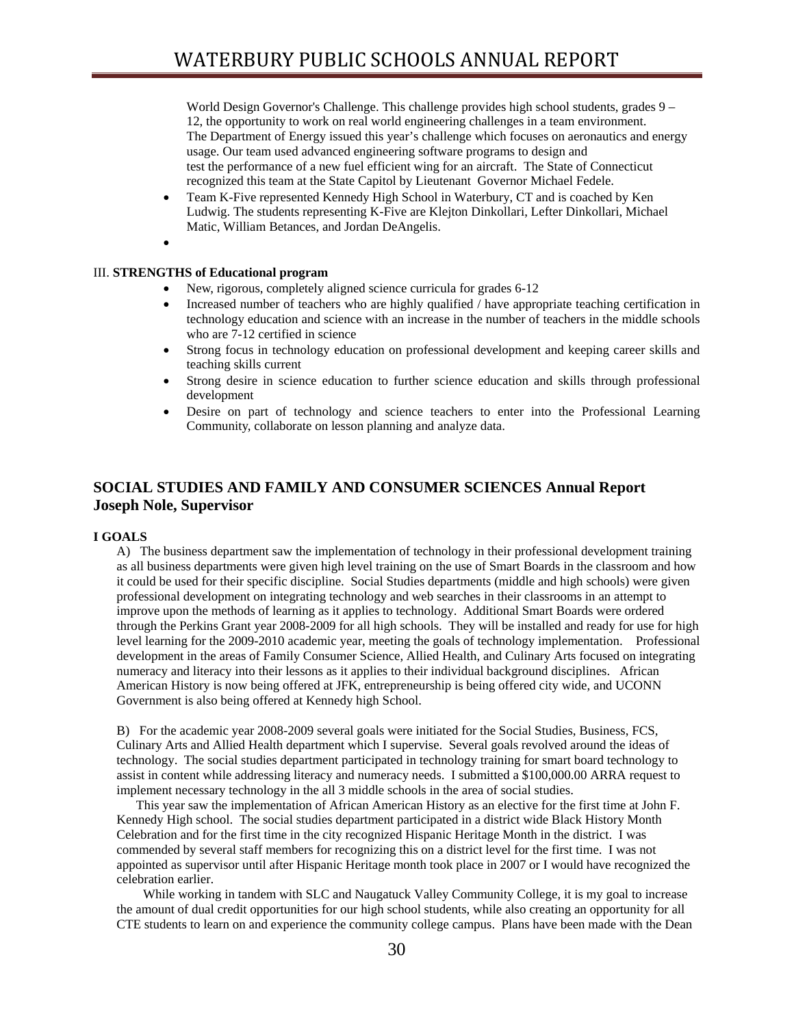World Design Governor's Challenge. This challenge provides high school students, grades 9 – 12, the opportunity to work on real world engineering challenges in a team environment. The Department of Energy issued this year's challenge which focuses on aeronautics and energy usage. Our team used advanced engineering software programs to design and test the performance of a new fuel efficient wing for an aircraft. The State of Connecticut recognized this team at the State Capitol by Lieutenant Governor Michael Fedele.

- Team K-Five represented Kennedy High School in Waterbury, CT and is coached by Ken Ludwig. The students representing K-Five are Klejton Dinkollari, Lefter Dinkollari, Michael Matic, William Betances, and Jordan DeAngelis.
- •

## III. **STRENGTHS of Educational program**

- New, rigorous, completely aligned science curricula for grades 6-12
- Increased number of teachers who are highly qualified / have appropriate teaching certification in technology education and science with an increase in the number of teachers in the middle schools who are 7-12 certified in science
- Strong focus in technology education on professional development and keeping career skills and teaching skills current
- Strong desire in science education to further science education and skills through professional development
- Desire on part of technology and science teachers to enter into the Professional Learning Community, collaborate on lesson planning and analyze data.

## **SOCIAL STUDIES AND FAMILY AND CONSUMER SCIENCES Annual Report Joseph Nole, Supervisor**

## **I GOALS**

A) The business department saw the implementation of technology in their professional development training as all business departments were given high level training on the use of Smart Boards in the classroom and how it could be used for their specific discipline. Social Studies departments (middle and high schools) were given professional development on integrating technology and web searches in their classrooms in an attempt to improve upon the methods of learning as it applies to technology. Additional Smart Boards were ordered through the Perkins Grant year 2008-2009 for all high schools. They will be installed and ready for use for high level learning for the 2009-2010 academic year, meeting the goals of technology implementation. Professional development in the areas of Family Consumer Science, Allied Health, and Culinary Arts focused on integrating numeracy and literacy into their lessons as it applies to their individual background disciplines. African American History is now being offered at JFK, entrepreneurship is being offered city wide, and UCONN Government is also being offered at Kennedy high School.

B) For the academic year 2008-2009 several goals were initiated for the Social Studies, Business, FCS, Culinary Arts and Allied Health department which I supervise. Several goals revolved around the ideas of technology. The social studies department participated in technology training for smart board technology to assist in content while addressing literacy and numeracy needs. I submitted a \$100,000.00 ARRA request to implement necessary technology in the all 3 middle schools in the area of social studies.

 This year saw the implementation of African American History as an elective for the first time at John F. Kennedy High school. The social studies department participated in a district wide Black History Month Celebration and for the first time in the city recognized Hispanic Heritage Month in the district. I was commended by several staff members for recognizing this on a district level for the first time. I was not appointed as supervisor until after Hispanic Heritage month took place in 2007 or I would have recognized the celebration earlier.

 While working in tandem with SLC and Naugatuck Valley Community College, it is my goal to increase the amount of dual credit opportunities for our high school students, while also creating an opportunity for all CTE students to learn on and experience the community college campus. Plans have been made with the Dean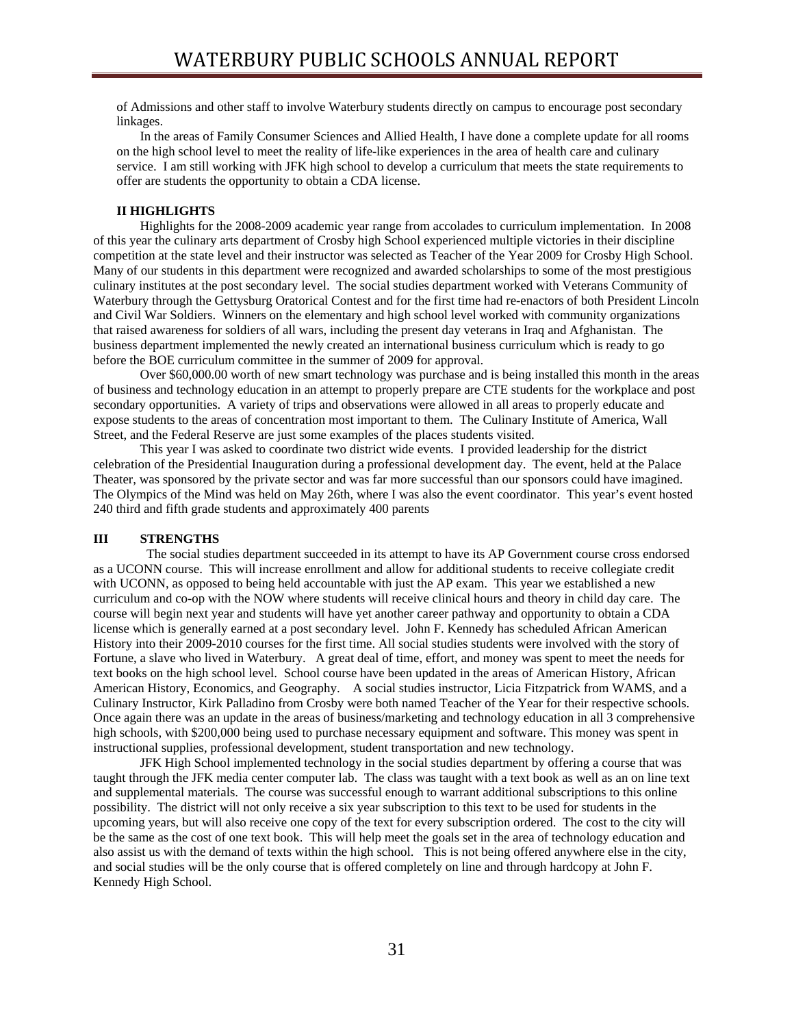of Admissions and other staff to involve Waterbury students directly on campus to encourage post secondary linkages.

 In the areas of Family Consumer Sciences and Allied Health, I have done a complete update for all rooms on the high school level to meet the reality of life-like experiences in the area of health care and culinary service. I am still working with JFK high school to develop a curriculum that meets the state requirements to offer are students the opportunity to obtain a CDA license.

## **II HIGHLIGHTS**

Highlights for the 2008-2009 academic year range from accolades to curriculum implementation. In 2008 of this year the culinary arts department of Crosby high School experienced multiple victories in their discipline competition at the state level and their instructor was selected as Teacher of the Year 2009 for Crosby High School. Many of our students in this department were recognized and awarded scholarships to some of the most prestigious culinary institutes at the post secondary level. The social studies department worked with Veterans Community of Waterbury through the Gettysburg Oratorical Contest and for the first time had re-enactors of both President Lincoln and Civil War Soldiers. Winners on the elementary and high school level worked with community organizations that raised awareness for soldiers of all wars, including the present day veterans in Iraq and Afghanistan. The business department implemented the newly created an international business curriculum which is ready to go before the BOE curriculum committee in the summer of 2009 for approval.

 Over \$60,000.00 worth of new smart technology was purchase and is being installed this month in the areas of business and technology education in an attempt to properly prepare are CTE students for the workplace and post secondary opportunities. A variety of trips and observations were allowed in all areas to properly educate and expose students to the areas of concentration most important to them. The Culinary Institute of America, Wall Street, and the Federal Reserve are just some examples of the places students visited.

This year I was asked to coordinate two district wide events. I provided leadership for the district celebration of the Presidential Inauguration during a professional development day. The event, held at the Palace Theater, was sponsored by the private sector and was far more successful than our sponsors could have imagined. The Olympics of the Mind was held on May 26th, where I was also the event coordinator. This year's event hosted 240 third and fifth grade students and approximately 400 parents

## **III STRENGTHS**

 The social studies department succeeded in its attempt to have its AP Government course cross endorsed as a UCONN course. This will increase enrollment and allow for additional students to receive collegiate credit with UCONN, as opposed to being held accountable with just the AP exam. This year we established a new curriculum and co-op with the NOW where students will receive clinical hours and theory in child day care. The course will begin next year and students will have yet another career pathway and opportunity to obtain a CDA license which is generally earned at a post secondary level. John F. Kennedy has scheduled African American History into their 2009-2010 courses for the first time. All social studies students were involved with the story of Fortune, a slave who lived in Waterbury. A great deal of time, effort, and money was spent to meet the needs for text books on the high school level. School course have been updated in the areas of American History, African American History, Economics, and Geography. A social studies instructor, Licia Fitzpatrick from WAMS, and a Culinary Instructor, Kirk Palladino from Crosby were both named Teacher of the Year for their respective schools. Once again there was an update in the areas of business/marketing and technology education in all 3 comprehensive high schools, with \$200,000 being used to purchase necessary equipment and software. This money was spent in instructional supplies, professional development, student transportation and new technology.

JFK High School implemented technology in the social studies department by offering a course that was taught through the JFK media center computer lab. The class was taught with a text book as well as an on line text and supplemental materials. The course was successful enough to warrant additional subscriptions to this online possibility. The district will not only receive a six year subscription to this text to be used for students in the upcoming years, but will also receive one copy of the text for every subscription ordered. The cost to the city will be the same as the cost of one text book. This will help meet the goals set in the area of technology education and also assist us with the demand of texts within the high school. This is not being offered anywhere else in the city, and social studies will be the only course that is offered completely on line and through hardcopy at John F. Kennedy High School.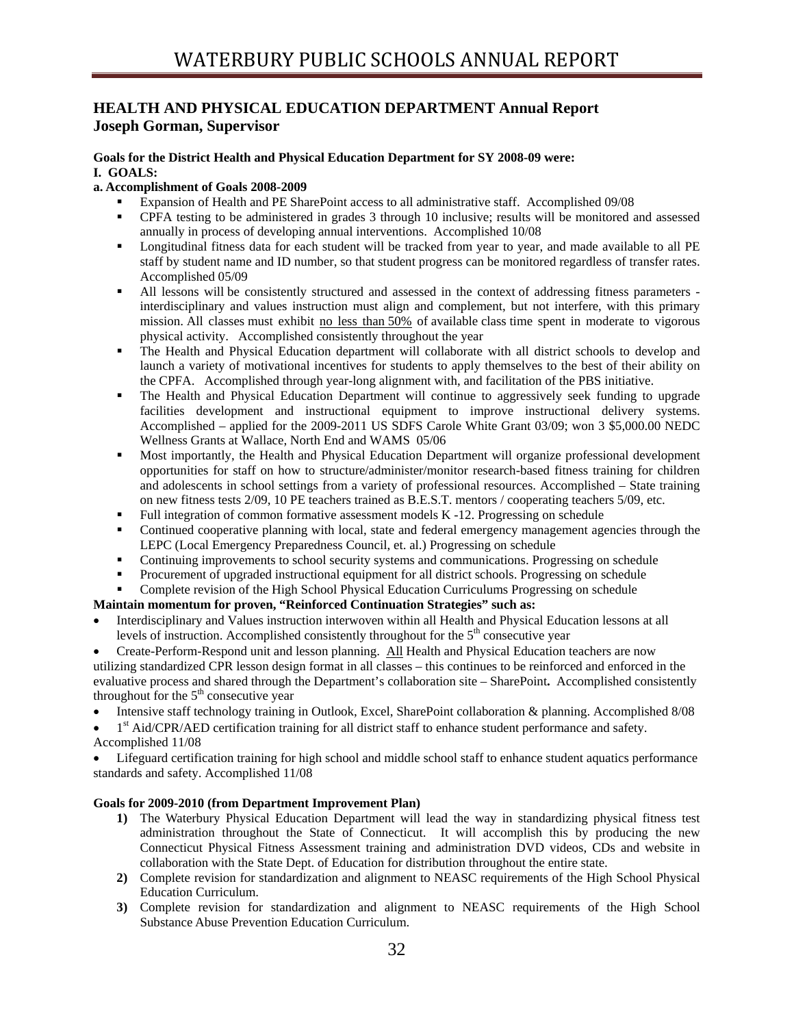## **HEALTH AND PHYSICAL EDUCATION DEPARTMENT Annual Report Joseph Gorman, Supervisor**

#### **Goals for the District Health and Physical Education Department for SY 2008-09 were: I. GOALS:**

## **a. Accomplishment of Goals 2008-2009**

- Expansion of Health and PE SharePoint access to all administrative staff. Accomplished 09/08
- CPFA testing to be administered in grades 3 through 10 inclusive; results will be monitored and assessed annually in process of developing annual interventions. Accomplished 10/08
- **Longitudinal fitness data for each student will be tracked from year to year, and made available to all PE** staff by student name and ID number, so that student progress can be monitored regardless of transfer rates. Accomplished 05/09
- All lessons will be consistently structured and assessed in the context of addressing fitness parameters interdisciplinary and values instruction must align and complement, but not interfere, with this primary mission. All classes must exhibit no less than 50% of available class time spent in moderate to vigorous physical activity. Accomplished consistently throughout the year
- The Health and Physical Education department will collaborate with all district schools to develop and launch a variety of motivational incentives for students to apply themselves to the best of their ability on the CPFA. Accomplished through year-long alignment with, and facilitation of the PBS initiative.
- The Health and Physical Education Department will continue to aggressively seek funding to upgrade facilities development and instructional equipment to improve instructional delivery systems. Accomplished – applied for the 2009-2011 US SDFS Carole White Grant 03/09; won 3 \$5,000.00 NEDC Wellness Grants at Wallace, North End and WAMS 05/06
- Most importantly, the Health and Physical Education Department will organize professional development opportunities for staff on how to structure/administer/monitor research-based fitness training for children and adolescents in school settings from a variety of professional resources. Accomplished – State training on new fitness tests 2/09, 10 PE teachers trained as B.E.S.T. mentors / cooperating teachers 5/09, etc.
- Full integration of common formative assessment models K -12. Progressing on schedule
- Continued cooperative planning with local, state and federal emergency management agencies through the LEPC (Local Emergency Preparedness Council, et. al.) Progressing on schedule
- Continuing improvements to school security systems and communications. Progressing on schedule
- Procurement of upgraded instructional equipment for all district schools. Progressing on schedule
- Complete revision of the High School Physical Education Curriculums Progressing on schedule

## **Maintain momentum for proven, "Reinforced Continuation Strategies" such as:**

- Interdisciplinary and Values instruction interwoven within all Health and Physical Education lessons at all levels of instruction. Accomplished consistently throughout for the  $5<sup>th</sup>$  consecutive year
- Create-Perform-Respond unit and lesson planning. All Health and Physical Education teachers are now utilizing standardized CPR lesson design format in all classes – this continues to be reinforced and enforced in the evaluative process and shared through the Department's collaboration site – SharePoint**.** Accomplished consistently throughout for the  $5<sup>th</sup>$  consecutive year
- Intensive staff technology training in Outlook, Excel, SharePoint collaboration & planning. Accomplished 8/08
- 1<sup>st</sup> Aid/CPR/AED certification training for all district staff to enhance student performance and safety. Accomplished 11/08

• Lifeguard certification training for high school and middle school staff to enhance student aquatics performance standards and safety. Accomplished 11/08

## **Goals for 2009-2010 (from Department Improvement Plan)**

- **1)** The Waterbury Physical Education Department will lead the way in standardizing physical fitness test administration throughout the State of Connecticut. It will accomplish this by producing the new Connecticut Physical Fitness Assessment training and administration DVD videos, CDs and website in collaboration with the State Dept. of Education for distribution throughout the entire state.
- **2)** Complete revision for standardization and alignment to NEASC requirements of the High School Physical Education Curriculum.
- **3)** Complete revision for standardization and alignment to NEASC requirements of the High School Substance Abuse Prevention Education Curriculum.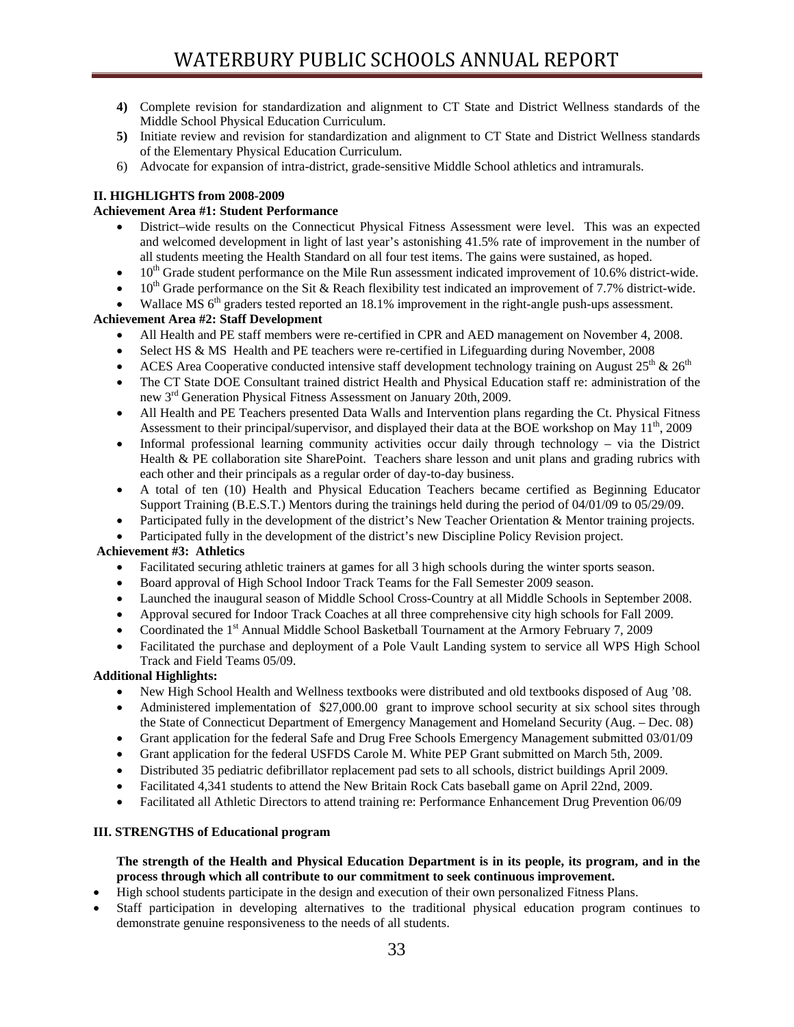- **4)** Complete revision for standardization and alignment to CT State and District Wellness standards of the Middle School Physical Education Curriculum.
- **5)** Initiate review and revision for standardization and alignment to CT State and District Wellness standards of the Elementary Physical Education Curriculum.
- 6) Advocate for expansion of intra-district, grade-sensitive Middle School athletics and intramurals.

## **II. HIGHLIGHTS from 2008-2009**

## **Achievement Area #1: Student Performance**

- District–wide results on the Connecticut Physical Fitness Assessment were level. This was an expected and welcomed development in light of last year's astonishing 41.5% rate of improvement in the number of all students meeting the Health Standard on all four test items. The gains were sustained, as hoped.
- $\bullet$  10<sup>th</sup> Grade student performance on the Mile Run assessment indicated improvement of 10.6% district-wide.
- $10<sup>th</sup>$  Grade performance on the Sit & Reach flexibility test indicated an improvement of 7.7% district-wide.
- Wallace MS  $6<sup>th</sup>$  graders tested reported an 18.1% improvement in the right-angle push-ups assessment.

## **Achievement Area #2: Staff Development**

- All Health and PE staff members were re-certified in CPR and AED management on November 4, 2008.
- Select HS & MS Health and PE teachers were re-certified in Lifeguarding during November, 2008
- ACES Area Cooperative conducted intensive staff development technology training on August  $25^{th}$  &  $26^{th}$
- The CT State DOE Consultant trained district Health and Physical Education staff re: administration of the new 3<sup>rd</sup> Generation Physical Fitness Assessment on January 20th, 2009.
- All Health and PE Teachers presented Data Walls and Intervention plans regarding the Ct. Physical Fitness Assessment to their principal/supervisor, and displayed their data at the BOE workshop on May  $11<sup>th</sup>$ , 2009
- Informal professional learning community activities occur daily through technology via the District Health & PE collaboration site SharePoint. Teachers share lesson and unit plans and grading rubrics with each other and their principals as a regular order of day-to-day business.
- A total of ten (10) Health and Physical Education Teachers became certified as Beginning Educator Support Training (B.E.S.T.) Mentors during the trainings held during the period of 04/01/09 to 05/29/09.
- Participated fully in the development of the district's New Teacher Orientation & Mentor training projects.
- Participated fully in the development of the district's new Discipline Policy Revision project.

## **Achievement #3: Athletics**

- Facilitated securing athletic trainers at games for all 3 high schools during the winter sports season.
- Board approval of High School Indoor Track Teams for the Fall Semester 2009 season.
- Launched the inaugural season of Middle School Cross-Country at all Middle Schools in September 2008.
- Approval secured for Indoor Track Coaches at all three comprehensive city high schools for Fall 2009.
- Coordinated the 1<sup>st</sup> Annual Middle School Basketball Tournament at the Armory February 7, 2009
- Facilitated the purchase and deployment of a Pole Vault Landing system to service all WPS High School Track and Field Teams 05/09.

## **Additional Highlights:**

- New High School Health and Wellness textbooks were distributed and old textbooks disposed of Aug '08.
- Administered implementation of \$27,000.00 grant to improve school security at six school sites through the State of Connecticut Department of Emergency Management and Homeland Security (Aug. – Dec. 08)
- Grant application for the federal Safe and Drug Free Schools Emergency Management submitted 03/01/09
- Grant application for the federal USFDS Carole M. White PEP Grant submitted on March 5th, 2009.
- Distributed 35 pediatric defibrillator replacement pad sets to all schools, district buildings April 2009.
- Facilitated 4,341 students to attend the New Britain Rock Cats baseball game on April 22nd, 2009.
- Facilitated all Athletic Directors to attend training re: Performance Enhancement Drug Prevention 06/09

## **III. STRENGTHS of Educational program**

## **The strength of the Health and Physical Education Department is in its people, its program, and in the process through which all contribute to our commitment to seek continuous improvement.**

- High school students participate in the design and execution of their own personalized Fitness Plans.
- Staff participation in developing alternatives to the traditional physical education program continues to demonstrate genuine responsiveness to the needs of all students.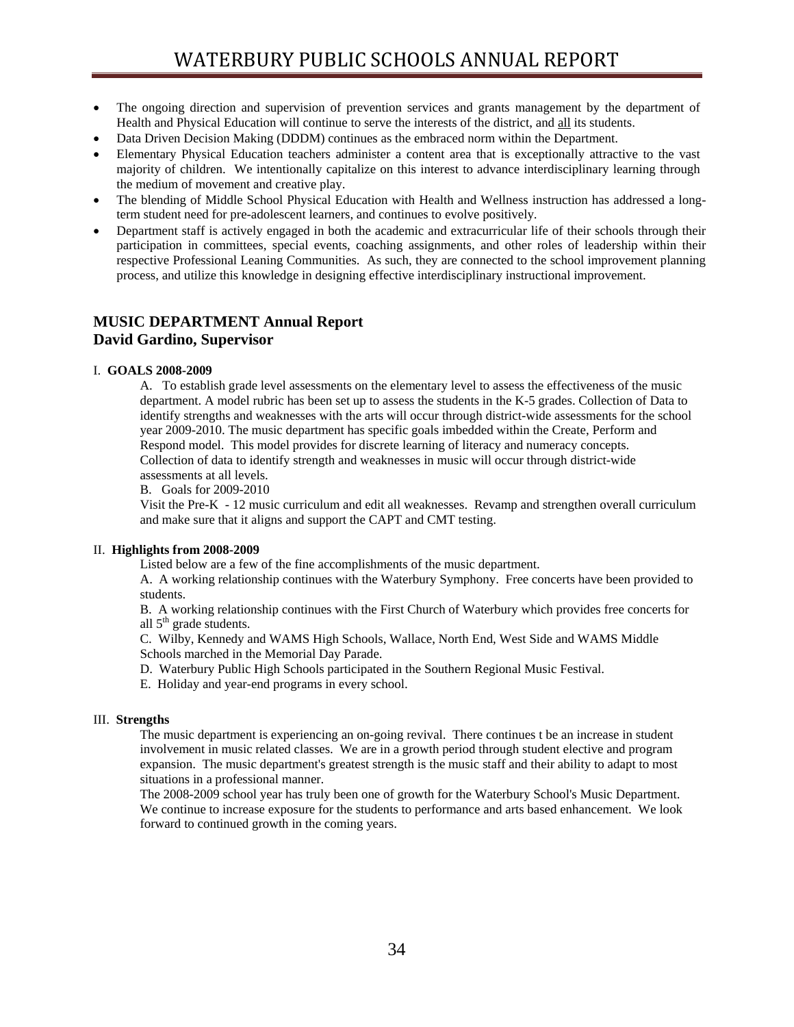- The ongoing direction and supervision of prevention services and grants management by the department of Health and Physical Education will continue to serve the interests of the district, and all its students.
- Data Driven Decision Making (DDDM) continues as the embraced norm within the Department.
- Elementary Physical Education teachers administer a content area that is exceptionally attractive to the vast majority of children. We intentionally capitalize on this interest to advance interdisciplinary learning through the medium of movement and creative play.
- The blending of Middle School Physical Education with Health and Wellness instruction has addressed a longterm student need for pre-adolescent learners, and continues to evolve positively.
- Department staff is actively engaged in both the academic and extracurricular life of their schools through their participation in committees, special events, coaching assignments, and other roles of leadership within their respective Professional Leaning Communities. As such, they are connected to the school improvement planning process, and utilize this knowledge in designing effective interdisciplinary instructional improvement.

## **MUSIC DEPARTMENT Annual Report David Gardino, Supervisor**

## I. **GOALS 2008-2009**

A. To establish grade level assessments on the elementary level to assess the effectiveness of the music department. A model rubric has been set up to assess the students in the K-5 grades. Collection of Data to identify strengths and weaknesses with the arts will occur through district-wide assessments for the school year 2009-2010. The music department has specific goals imbedded within the Create, Perform and Respond model. This model provides for discrete learning of literacy and numeracy concepts. Collection of data to identify strength and weaknesses in music will occur through district-wide assessments at all levels.

B. Goals for 2009-2010

Visit the Pre-K - 12 music curriculum and edit all weaknesses. Revamp and strengthen overall curriculum and make sure that it aligns and support the CAPT and CMT testing.

## II. **Highlights from 2008-2009**

Listed below are a few of the fine accomplishments of the music department.

A. A working relationship continues with the Waterbury Symphony. Free concerts have been provided to students.

B. A working relationship continues with the First Church of Waterbury which provides free concerts for all  $5<sup>th</sup>$  grade students.

C. Wilby, Kennedy and WAMS High Schools, Wallace, North End, West Side and WAMS Middle Schools marched in the Memorial Day Parade.

D. Waterbury Public High Schools participated in the Southern Regional Music Festival.

E. Holiday and year-end programs in every school.

## III. **Strengths**

The music department is experiencing an on-going revival. There continues t be an increase in student involvement in music related classes. We are in a growth period through student elective and program expansion. The music department's greatest strength is the music staff and their ability to adapt to most situations in a professional manner.

The 2008-2009 school year has truly been one of growth for the Waterbury School's Music Department. We continue to increase exposure for the students to performance and arts based enhancement. We look forward to continued growth in the coming years.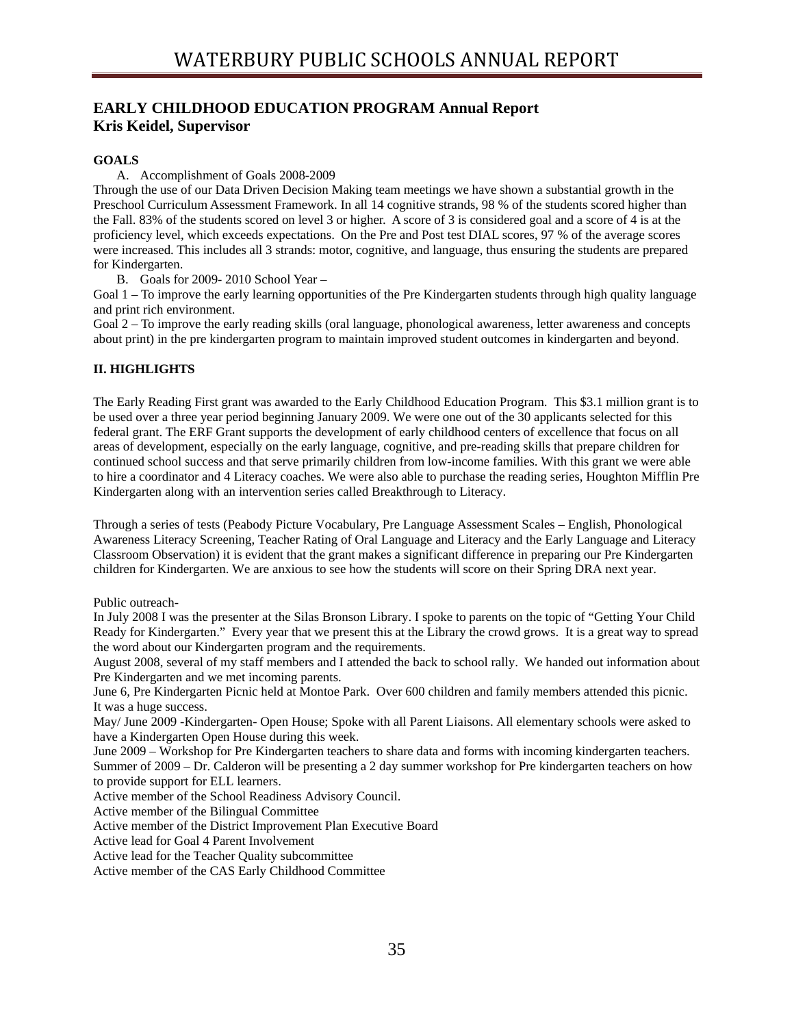## **EARLY CHILDHOOD EDUCATION PROGRAM Annual Report Kris Keidel, Supervisor**

## **GOALS**

A. Accomplishment of Goals 2008-2009

Through the use of our Data Driven Decision Making team meetings we have shown a substantial growth in the Preschool Curriculum Assessment Framework. In all 14 cognitive strands, 98 % of the students scored higher than the Fall. 83% of the students scored on level 3 or higher. A score of 3 is considered goal and a score of 4 is at the proficiency level, which exceeds expectations. On the Pre and Post test DIAL scores, 97 % of the average scores were increased. This includes all 3 strands: motor, cognitive, and language, thus ensuring the students are prepared for Kindergarten.

B. Goals for 2009- 2010 School Year –

Goal 1 – To improve the early learning opportunities of the Pre Kindergarten students through high quality language and print rich environment.

Goal 2 – To improve the early reading skills (oral language, phonological awareness, letter awareness and concepts about print) in the pre kindergarten program to maintain improved student outcomes in kindergarten and beyond.

## **II. HIGHLIGHTS**

The Early Reading First grant was awarded to the Early Childhood Education Program. This \$3.1 million grant is to be used over a three year period beginning January 2009. We were one out of the 30 applicants selected for this federal grant. The ERF Grant supports the development of early childhood centers of excellence that focus on all areas of development, especially on the early language, cognitive, and pre-reading skills that prepare children for continued school success and that serve primarily children from low-income families. With this grant we were able to hire a coordinator and 4 Literacy coaches. We were also able to purchase the reading series, Houghton Mifflin Pre Kindergarten along with an intervention series called Breakthrough to Literacy.

Through a series of tests (Peabody Picture Vocabulary, Pre Language Assessment Scales – English, Phonological Awareness Literacy Screening, Teacher Rating of Oral Language and Literacy and the Early Language and Literacy Classroom Observation) it is evident that the grant makes a significant difference in preparing our Pre Kindergarten children for Kindergarten. We are anxious to see how the students will score on their Spring DRA next year.

Public outreach-

In July 2008 I was the presenter at the Silas Bronson Library. I spoke to parents on the topic of "Getting Your Child Ready for Kindergarten." Every year that we present this at the Library the crowd grows. It is a great way to spread the word about our Kindergarten program and the requirements.

August 2008, several of my staff members and I attended the back to school rally. We handed out information about Pre Kindergarten and we met incoming parents.

June 6, Pre Kindergarten Picnic held at Montoe Park. Over 600 children and family members attended this picnic. It was a huge success.

May/ June 2009 -Kindergarten- Open House; Spoke with all Parent Liaisons. All elementary schools were asked to have a Kindergarten Open House during this week.

June 2009 – Workshop for Pre Kindergarten teachers to share data and forms with incoming kindergarten teachers. Summer of 2009 – Dr. Calderon will be presenting a 2 day summer workshop for Pre kindergarten teachers on how to provide support for ELL learners.

Active member of the School Readiness Advisory Council.

Active member of the Bilingual Committee

Active member of the District Improvement Plan Executive Board

Active lead for Goal 4 Parent Involvement

Active lead for the Teacher Quality subcommittee

Active member of the CAS Early Childhood Committee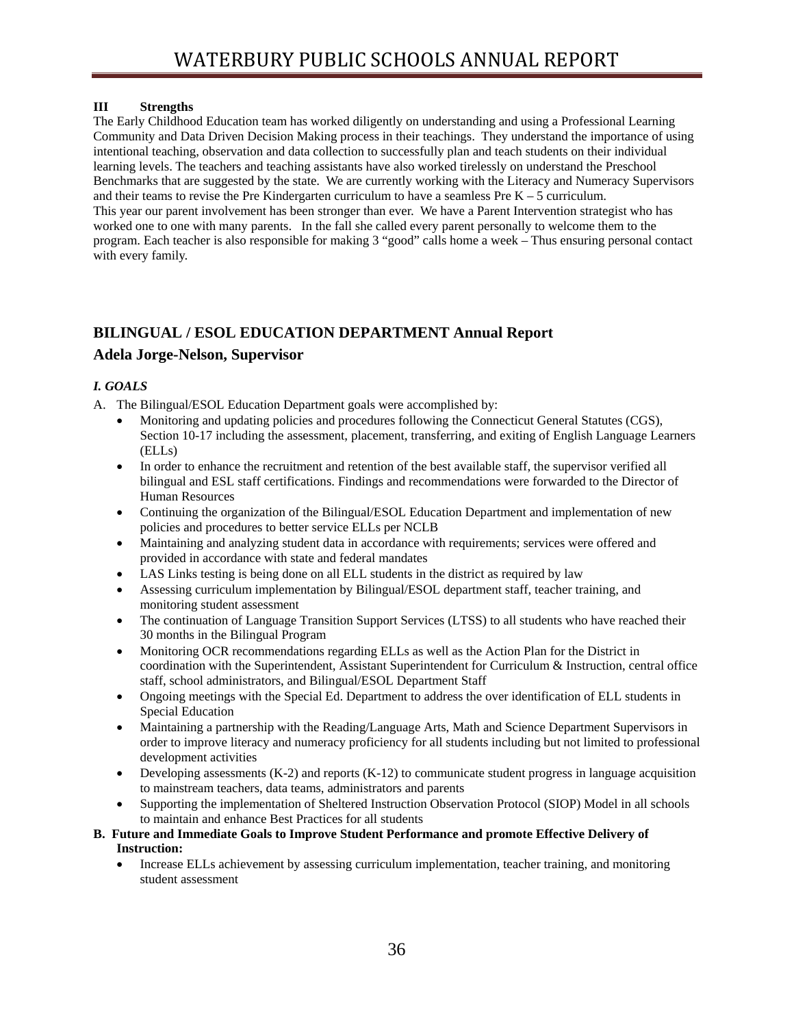## **III Strengths**

The Early Childhood Education team has worked diligently on understanding and using a Professional Learning Community and Data Driven Decision Making process in their teachings. They understand the importance of using intentional teaching, observation and data collection to successfully plan and teach students on their individual learning levels. The teachers and teaching assistants have also worked tirelessly on understand the Preschool Benchmarks that are suggested by the state. We are currently working with the Literacy and Numeracy Supervisors and their teams to revise the Pre Kindergarten curriculum to have a seamless Pre  $K - 5$  curriculum. This year our parent involvement has been stronger than ever. We have a Parent Intervention strategist who has worked one to one with many parents. In the fall she called every parent personally to welcome them to the program. Each teacher is also responsible for making 3 "good" calls home a week – Thus ensuring personal contact with every family.

## **BILINGUAL / ESOL EDUCATION DEPARTMENT Annual Report**

## **Adela Jorge-Nelson, Supervisor**

## *I. GOALS*

- A. The Bilingual/ESOL Education Department goals were accomplished by:
	- Monitoring and updating policies and procedures following the Connecticut General Statutes (CGS), Section 10-17 including the assessment, placement, transferring, and exiting of English Language Learners (ELLs)
	- In order to enhance the recruitment and retention of the best available staff, the supervisor verified all bilingual and ESL staff certifications. Findings and recommendations were forwarded to the Director of Human Resources
	- Continuing the organization of the Bilingual/ESOL Education Department and implementation of new policies and procedures to better service ELLs per NCLB
	- Maintaining and analyzing student data in accordance with requirements; services were offered and provided in accordance with state and federal mandates
	- LAS Links testing is being done on all ELL students in the district as required by law
	- Assessing curriculum implementation by Bilingual/ESOL department staff, teacher training, and monitoring student assessment
	- The continuation of Language Transition Support Services (LTSS) to all students who have reached their 30 months in the Bilingual Program
	- Monitoring OCR recommendations regarding ELLs as well as the Action Plan for the District in coordination with the Superintendent, Assistant Superintendent for Curriculum & Instruction, central office staff, school administrators, and Bilingual/ESOL Department Staff
	- Ongoing meetings with the Special Ed. Department to address the over identification of ELL students in Special Education
	- Maintaining a partnership with the Reading/Language Arts, Math and Science Department Supervisors in order to improve literacy and numeracy proficiency for all students including but not limited to professional development activities
	- Developing assessments  $(K-2)$  and reports  $(K-12)$  to communicate student progress in language acquisition to mainstream teachers, data teams, administrators and parents
	- Supporting the implementation of Sheltered Instruction Observation Protocol (SIOP) Model in all schools to maintain and enhance Best Practices for all students
- **B. Future and Immediate Goals to Improve Student Performance and promote Effective Delivery of Instruction:**
	- Increase ELLs achievement by assessing curriculum implementation, teacher training, and monitoring student assessment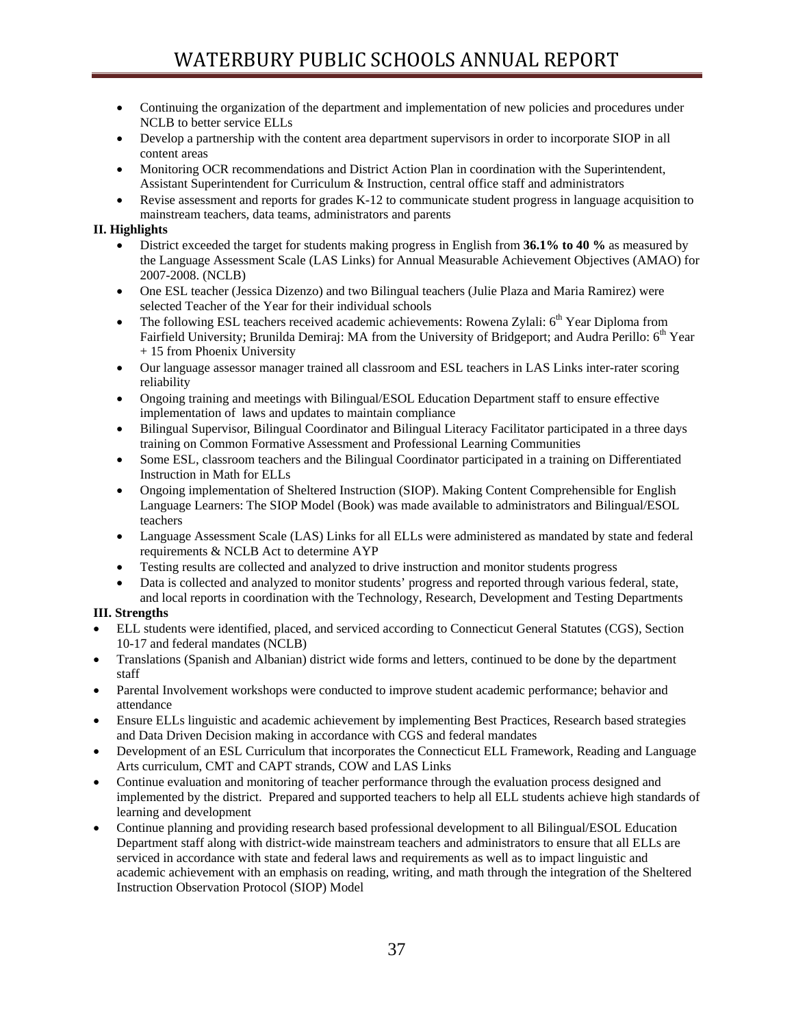- Continuing the organization of the department and implementation of new policies and procedures under NCLB to better service ELLs
- Develop a partnership with the content area department supervisors in order to incorporate SIOP in all content areas
- Monitoring OCR recommendations and District Action Plan in coordination with the Superintendent, Assistant Superintendent for Curriculum & Instruction, central office staff and administrators
- Revise assessment and reports for grades K-12 to communicate student progress in language acquisition to mainstream teachers, data teams, administrators and parents

## **II. Highlights**

- District exceeded the target for students making progress in English from **36.1% to 40 %** as measured by the Language Assessment Scale (LAS Links) for Annual Measurable Achievement Objectives (AMAO) for 2007-2008. (NCLB)
- One ESL teacher (Jessica Dizenzo) and two Bilingual teachers (Julie Plaza and Maria Ramirez) were selected Teacher of the Year for their individual schools
- The following ESL teachers received academic achievements: Rowena Zylali: 6<sup>th</sup> Year Diploma from Fairfield University; Brunilda Demiraj: MA from the University of Bridgeport; and Audra Perillo: 6<sup>th</sup> Year + 15 from Phoenix University
- Our language assessor manager trained all classroom and ESL teachers in LAS Links inter-rater scoring reliability
- Ongoing training and meetings with Bilingual/ESOL Education Department staff to ensure effective implementation of laws and updates to maintain compliance
- Bilingual Supervisor, Bilingual Coordinator and Bilingual Literacy Facilitator participated in a three days training on Common Formative Assessment and Professional Learning Communities
- Some ESL, classroom teachers and the Bilingual Coordinator participated in a training on Differentiated Instruction in Math for ELLs
- Ongoing implementation of Sheltered Instruction (SIOP). Making Content Comprehensible for English Language Learners: The SIOP Model (Book) was made available to administrators and Bilingual/ESOL teachers
- Language Assessment Scale (LAS) Links for all ELLs were administered as mandated by state and federal requirements & NCLB Act to determine AYP
- Testing results are collected and analyzed to drive instruction and monitor students progress
- Data is collected and analyzed to monitor students' progress and reported through various federal, state, and local reports in coordination with the Technology, Research, Development and Testing Departments

## **III. Strengths**

- ELL students were identified, placed, and serviced according to Connecticut General Statutes (CGS), Section 10-17 and federal mandates (NCLB)
- Translations (Spanish and Albanian) district wide forms and letters, continued to be done by the department staff
- Parental Involvement workshops were conducted to improve student academic performance; behavior and attendance
- Ensure ELLs linguistic and academic achievement by implementing Best Practices, Research based strategies and Data Driven Decision making in accordance with CGS and federal mandates
- Development of an ESL Curriculum that incorporates the Connecticut ELL Framework, Reading and Language Arts curriculum, CMT and CAPT strands, COW and LAS Links
- Continue evaluation and monitoring of teacher performance through the evaluation process designed and implemented by the district. Prepared and supported teachers to help all ELL students achieve high standards of learning and development
- Continue planning and providing research based professional development to all Bilingual/ESOL Education Department staff along with district-wide mainstream teachers and administrators to ensure that all ELLs are serviced in accordance with state and federal laws and requirements as well as to impact linguistic and academic achievement with an emphasis on reading, writing, and math through the integration of the Sheltered Instruction Observation Protocol (SIOP) Model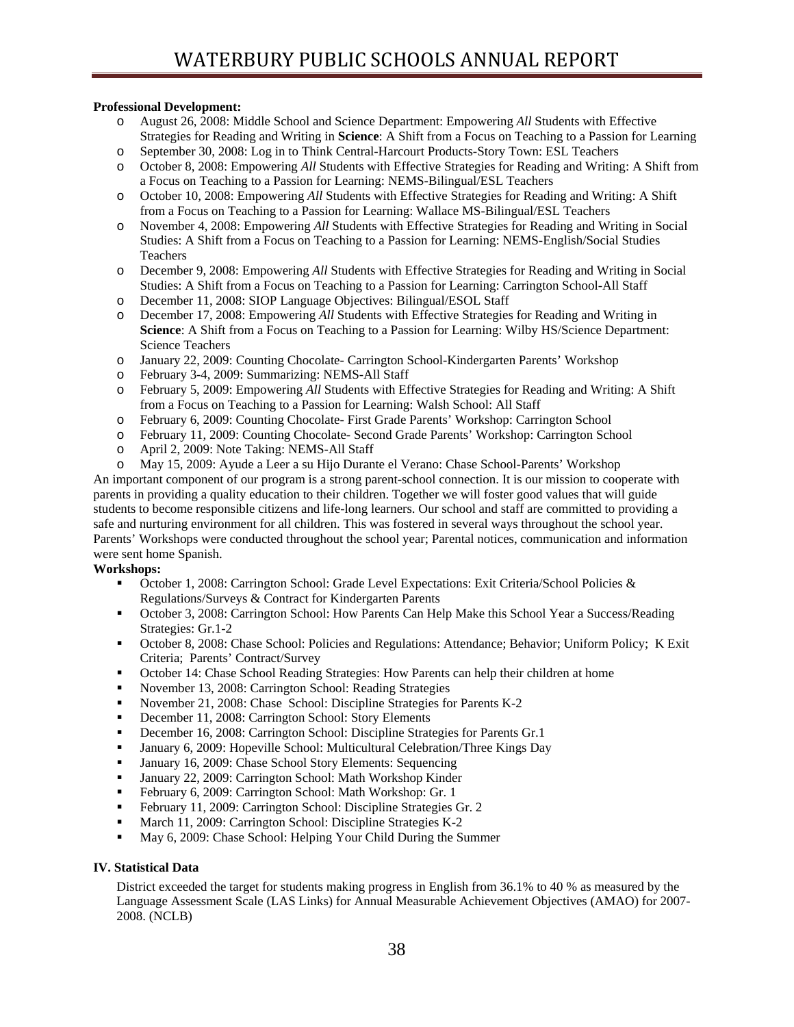## **Professional Development:**

- o August 26, 2008: Middle School and Science Department: Empowering *All* Students with Effective Strategies for Reading and Writing in **Science**: A Shift from a Focus on Teaching to a Passion for Learning
- o September 30, 2008: Log in to Think Central-Harcourt Products-Story Town: ESL Teachers
- o October 8, 2008: Empowering *All* Students with Effective Strategies for Reading and Writing: A Shift from a Focus on Teaching to a Passion for Learning: NEMS-Bilingual/ESL Teachers
- o October 10, 2008: Empowering *All* Students with Effective Strategies for Reading and Writing: A Shift from a Focus on Teaching to a Passion for Learning: Wallace MS-Bilingual/ESL Teachers
- o November 4, 2008: Empowering *All* Students with Effective Strategies for Reading and Writing in Social Studies: A Shift from a Focus on Teaching to a Passion for Learning: NEMS-English/Social Studies Teachers
- o December 9, 2008: Empowering *All* Students with Effective Strategies for Reading and Writing in Social Studies: A Shift from a Focus on Teaching to a Passion for Learning: Carrington School-All Staff
- o December 11, 2008: SIOP Language Objectives: Bilingual/ESOL Staff
- o December 17, 2008: Empowering *All* Students with Effective Strategies for Reading and Writing in **Science**: A Shift from a Focus on Teaching to a Passion for Learning: Wilby HS/Science Department: Science Teachers
- o January 22, 2009: Counting Chocolate- Carrington School-Kindergarten Parents' Workshop
- o February 3-4, 2009: Summarizing: NEMS-All Staff
- o February 5, 2009: Empowering *All* Students with Effective Strategies for Reading and Writing: A Shift from a Focus on Teaching to a Passion for Learning: Walsh School: All Staff
- o February 6, 2009: Counting Chocolate- First Grade Parents' Workshop: Carrington School
- o February 11, 2009: Counting Chocolate- Second Grade Parents' Workshop: Carrington School
- o April 2, 2009: Note Taking: NEMS-All Staff
- May 15, 2009: Ayude a Leer a su Hijo Durante el Verano: Chase School-Parents' Workshop

An important component of our program is a strong parent-school connection. It is our mission to cooperate with parents in providing a quality education to their children. Together we will foster good values that will guide students to become responsible citizens and life-long learners. Our school and staff are committed to providing a safe and nurturing environment for all children. This was fostered in several ways throughout the school year. Parents' Workshops were conducted throughout the school year; Parental notices, communication and information were sent home Spanish.

## **Workshops:**

- October 1, 2008: Carrington School: Grade Level Expectations: Exit Criteria/School Policies & Regulations/Surveys & Contract for Kindergarten Parents
- October 3, 2008: Carrington School: How Parents Can Help Make this School Year a Success/Reading Strategies: Gr.1-2
- October 8, 2008: Chase School: Policies and Regulations: Attendance; Behavior; Uniform Policy; K Exit Criteria; Parents' Contract/Survey
- October 14: Chase School Reading Strategies: How Parents can help their children at home
- November 13, 2008: Carrington School: Reading Strategies
- November 21, 2008: Chase School: Discipline Strategies for Parents K-2
- December 11, 2008: Carrington School: Story Elements
- December 16, 2008: Carrington School: Discipline Strategies for Parents Gr.1
- January 6, 2009: Hopeville School: Multicultural Celebration/Three Kings Day
- **January 16, 2009: Chase School Story Elements: Sequencing**
- January 22, 2009: Carrington School: Math Workshop Kinder
- February 6, 2009: Carrington School: Math Workshop: Gr. 1
- February 11, 2009: Carrington School: Discipline Strategies Gr. 2
- March 11, 2009: Carrington School: Discipline Strategies K-2
- May 6, 2009: Chase School: Helping Your Child During the Summer

## **IV. Statistical Data**

District exceeded the target for students making progress in English from 36.1% to 40 % as measured by the Language Assessment Scale (LAS Links) for Annual Measurable Achievement Objectives (AMAO) for 2007- 2008. (NCLB)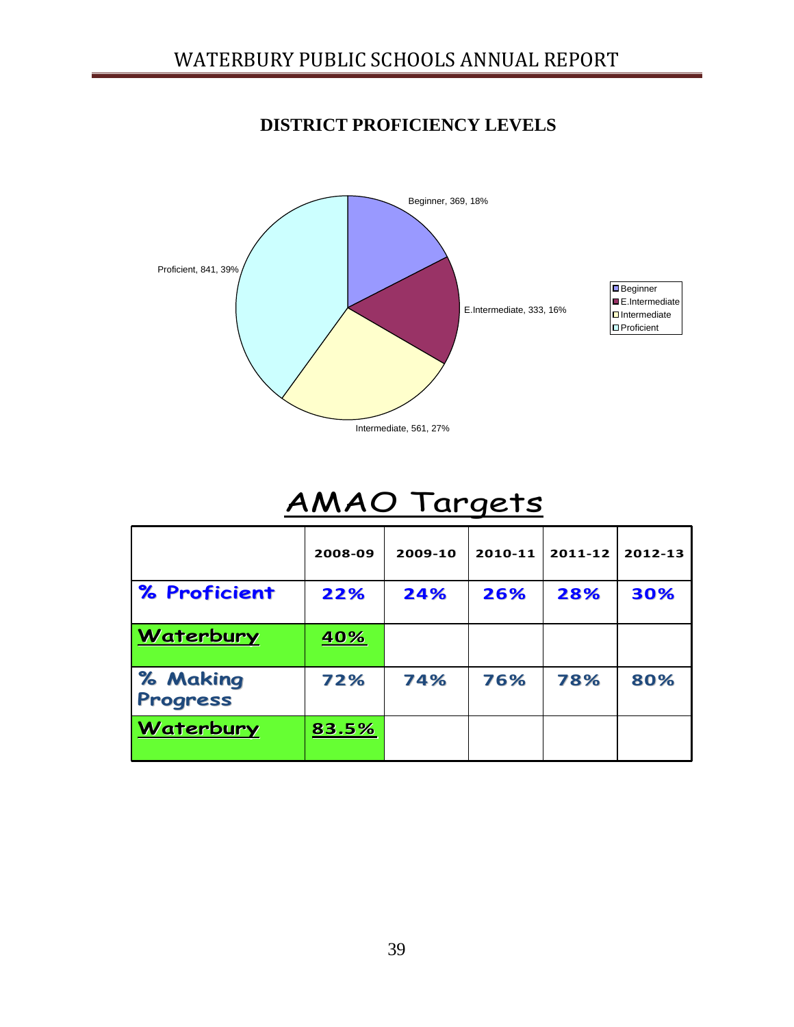## **DISTRICT PROFICIENCY LEVELS**



# AMAO Targets

|                             | 2008-09    | 2009-10 | 2010-11 | 2011-12 | 2012-13 |
|-----------------------------|------------|---------|---------|---------|---------|
| % Proficient                | 22%        | 24%     | 26%     | 28%     | 30%     |
| Waterbury                   | <u>40%</u> |         |         |         |         |
| % Making<br><b>Progress</b> | 72%        | 74%     | 76%     | 78%     | 80%     |
| Waterbury                   | 83.5%      |         |         |         |         |